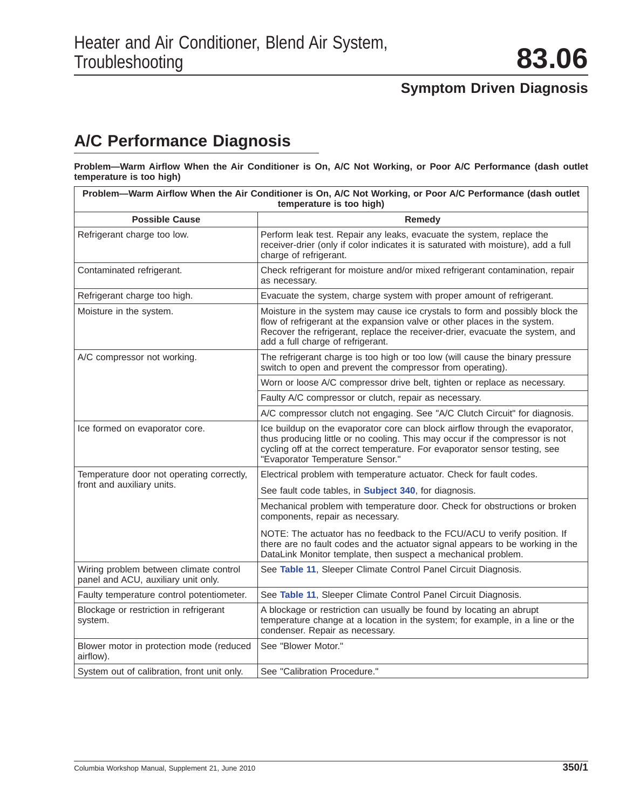## **A/C Performance Diagnosis**

**Problem—Warm Airflow When the Air Conditioner is On, A/C Not Working, or Poor A/C Performance (dash outlet temperature is too high)**

| Problem—Warm Airflow When the Air Conditioner is On, A/C Not Working, or Poor A/C Performance (dash outlet<br>temperature is too high) |                                                                                                                                                                                                                                                                                 |  |
|----------------------------------------------------------------------------------------------------------------------------------------|---------------------------------------------------------------------------------------------------------------------------------------------------------------------------------------------------------------------------------------------------------------------------------|--|
| <b>Possible Cause</b>                                                                                                                  | Remedy                                                                                                                                                                                                                                                                          |  |
| Refrigerant charge too low.                                                                                                            | Perform leak test. Repair any leaks, evacuate the system, replace the<br>receiver-drier (only if color indicates it is saturated with moisture), add a full<br>charge of refrigerant.                                                                                           |  |
| Contaminated refrigerant.                                                                                                              | Check refrigerant for moisture and/or mixed refrigerant contamination, repair<br>as necessary.                                                                                                                                                                                  |  |
| Refrigerant charge too high.                                                                                                           | Evacuate the system, charge system with proper amount of refrigerant.                                                                                                                                                                                                           |  |
| Moisture in the system.                                                                                                                | Moisture in the system may cause ice crystals to form and possibly block the<br>flow of refrigerant at the expansion valve or other places in the system.<br>Recover the refrigerant, replace the receiver-drier, evacuate the system, and<br>add a full charge of refrigerant. |  |
| A/C compressor not working.                                                                                                            | The refrigerant charge is too high or too low (will cause the binary pressure<br>switch to open and prevent the compressor from operating).                                                                                                                                     |  |
|                                                                                                                                        | Worn or loose A/C compressor drive belt, tighten or replace as necessary.                                                                                                                                                                                                       |  |
|                                                                                                                                        | Faulty A/C compressor or clutch, repair as necessary.                                                                                                                                                                                                                           |  |
|                                                                                                                                        | A/C compressor clutch not engaging. See "A/C Clutch Circuit" for diagnosis.                                                                                                                                                                                                     |  |
| Ice formed on evaporator core.                                                                                                         | Ice buildup on the evaporator core can block airflow through the evaporator,<br>thus producing little or no cooling. This may occur if the compressor is not<br>cycling off at the correct temperature. For evaporator sensor testing, see<br>"Evaporator Temperature Sensor."  |  |
| Temperature door not operating correctly,                                                                                              | Electrical problem with temperature actuator. Check for fault codes.                                                                                                                                                                                                            |  |
| front and auxiliary units.                                                                                                             | See fault code tables, in <b>Subject 340</b> , for diagnosis.                                                                                                                                                                                                                   |  |
|                                                                                                                                        | Mechanical problem with temperature door. Check for obstructions or broken<br>components, repair as necessary.                                                                                                                                                                  |  |
|                                                                                                                                        | NOTE: The actuator has no feedback to the FCU/ACU to verify position. If<br>there are no fault codes and the actuator signal appears to be working in the<br>DataLink Monitor template, then suspect a mechanical problem.                                                      |  |
| Wiring problem between climate control<br>panel and ACU, auxiliary unit only.                                                          | See Table 11, Sleeper Climate Control Panel Circuit Diagnosis.                                                                                                                                                                                                                  |  |
| Faulty temperature control potentiometer.                                                                                              | See Table 11, Sleeper Climate Control Panel Circuit Diagnosis.                                                                                                                                                                                                                  |  |
| Blockage or restriction in refrigerant<br>system.                                                                                      | A blockage or restriction can usually be found by locating an abrupt<br>temperature change at a location in the system; for example, in a line or the<br>condenser. Repair as necessary.                                                                                        |  |
| Blower motor in protection mode (reduced<br>airflow).                                                                                  | See "Blower Motor."                                                                                                                                                                                                                                                             |  |
| System out of calibration, front unit only.                                                                                            | See "Calibration Procedure."                                                                                                                                                                                                                                                    |  |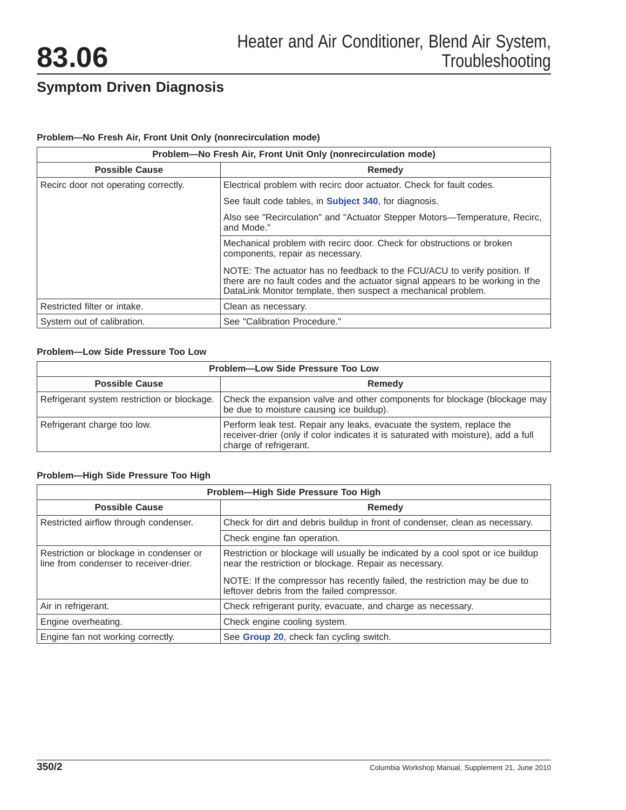### **Problem—No Fresh Air, Front Unit Only (nonrecirculation mode)**

| Problem-No Fresh Air, Front Unit Only (nonrecirculation mode) |                                                                                                                                                                                                                            |
|---------------------------------------------------------------|----------------------------------------------------------------------------------------------------------------------------------------------------------------------------------------------------------------------------|
| <b>Possible Cause</b>                                         | <b>Remedy</b>                                                                                                                                                                                                              |
| Recirc door not operating correctly.                          | Electrical problem with recirc door actuator. Check for fault codes.                                                                                                                                                       |
|                                                               | See fault code tables, in <b>Subject 340</b> , for diagnosis.                                                                                                                                                              |
|                                                               | Also see "Recirculation" and "Actuator Stepper Motors—Temperature, Recirc,<br>and Mode."                                                                                                                                   |
|                                                               | Mechanical problem with recirc door. Check for obstructions or broken<br>components, repair as necessary.                                                                                                                  |
|                                                               | NOTE: The actuator has no feedback to the FCU/ACU to verify position. If<br>there are no fault codes and the actuator signal appears to be working in the<br>DataLink Monitor template, then suspect a mechanical problem. |
| Restricted filter or intake.                                  | Clean as necessary.                                                                                                                                                                                                        |
| System out of calibration.                                    | See "Calibration Procedure."                                                                                                                                                                                               |

### **Problem—Low Side Pressure Too Low**

| <b>Problem-Low Side Pressure Too Low</b>    |                                                                                                                                                                                       |
|---------------------------------------------|---------------------------------------------------------------------------------------------------------------------------------------------------------------------------------------|
| <b>Possible Cause</b>                       | Remedy                                                                                                                                                                                |
| Refrigerant system restriction or blockage. | Check the expansion valve and other components for blockage (blockage may<br>be due to moisture causing ice buildup).                                                                 |
| Refrigerant charge too low.                 | Perform leak test. Repair any leaks, evacuate the system, replace the<br>receiver-drier (only if color indicates it is saturated with moisture), add a full<br>charge of refrigerant. |

### **Problem—High Side Pressure Too High**

| Problem-High Side Pressure Too High                                               |                                                                                                                                           |
|-----------------------------------------------------------------------------------|-------------------------------------------------------------------------------------------------------------------------------------------|
| <b>Possible Cause</b>                                                             | Remedy                                                                                                                                    |
| Restricted airflow through condenser.                                             | Check for dirt and debris buildup in front of condenser, clean as necessary.                                                              |
|                                                                                   | Check engine fan operation.                                                                                                               |
| Restriction or blockage in condenser or<br>line from condenser to receiver-drier. | Restriction or blockage will usually be indicated by a cool spot or ice buildup<br>near the restriction or blockage. Repair as necessary. |
|                                                                                   | NOTE: If the compressor has recently failed, the restriction may be due to<br>leftover debris from the failed compressor.                 |
| Air in refrigerant.                                                               | Check refrigerant purity, evacuate, and charge as necessary.                                                                              |
| Engine overheating.                                                               | Check engine cooling system.                                                                                                              |
| Engine fan not working correctly.                                                 | See Group 20, check fan cycling switch.                                                                                                   |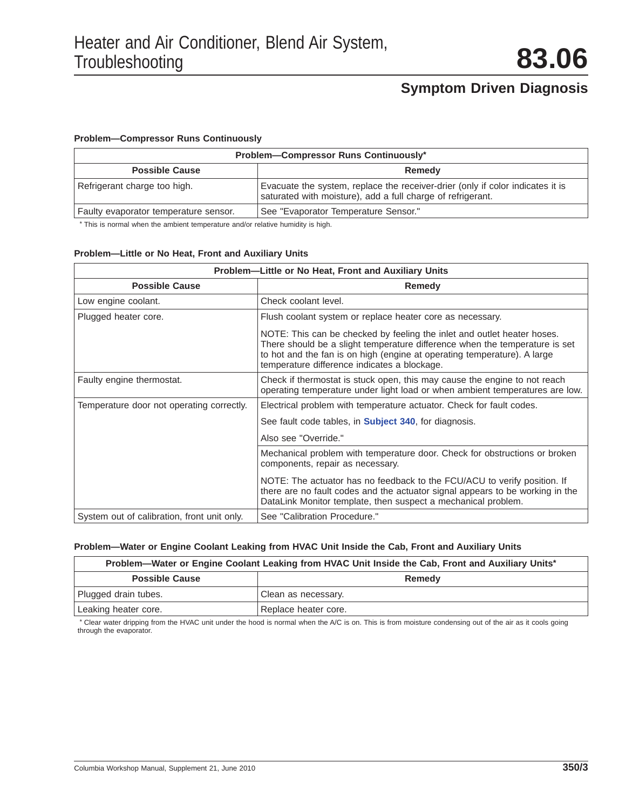#### **Problem—Compressor Runs Continuously**

| Problem-Compressor Runs Continuously* |                                                                                                                                               |
|---------------------------------------|-----------------------------------------------------------------------------------------------------------------------------------------------|
| <b>Possible Cause</b>                 | Remedy                                                                                                                                        |
| Refrigerant charge too high.          | Evacuate the system, replace the receiver-drier (only if color indicates it is<br>saturated with moisture), add a full charge of refrigerant. |
| Faulty evaporator temperature sensor. | See "Evaporator Temperature Sensor."                                                                                                          |

\* This is normal when the ambient temperature and/or relative humidity is high.

### **Problem—Little or No Heat, Front and Auxiliary Units**

| Problem—Little or No Heat, Front and Auxiliary Units |                                                                                                                                                                                                                                                                                    |
|------------------------------------------------------|------------------------------------------------------------------------------------------------------------------------------------------------------------------------------------------------------------------------------------------------------------------------------------|
| <b>Possible Cause</b>                                | <b>Remedy</b>                                                                                                                                                                                                                                                                      |
| Low engine coolant.                                  | Check coolant level.                                                                                                                                                                                                                                                               |
| Plugged heater core.                                 | Flush coolant system or replace heater core as necessary.                                                                                                                                                                                                                          |
|                                                      | NOTE: This can be checked by feeling the inlet and outlet heater hoses.<br>There should be a slight temperature difference when the temperature is set<br>to hot and the fan is on high (engine at operating temperature). A large<br>temperature difference indicates a blockage. |
| Faulty engine thermostat.                            | Check if thermostat is stuck open, this may cause the engine to not reach<br>operating temperature under light load or when ambient temperatures are low.                                                                                                                          |
| Temperature door not operating correctly.            | Electrical problem with temperature actuator. Check for fault codes.                                                                                                                                                                                                               |
|                                                      | See fault code tables, in <b>Subject 340</b> , for diagnosis.                                                                                                                                                                                                                      |
|                                                      | Also see "Override."                                                                                                                                                                                                                                                               |
|                                                      | Mechanical problem with temperature door. Check for obstructions or broken<br>components, repair as necessary.                                                                                                                                                                     |
|                                                      | NOTE: The actuator has no feedback to the FCU/ACU to verify position. If<br>there are no fault codes and the actuator signal appears to be working in the<br>DataLink Monitor template, then suspect a mechanical problem.                                                         |
| System out of calibration, front unit only.          | See "Calibration Procedure."                                                                                                                                                                                                                                                       |

#### **Problem—Water or Engine Coolant Leaking from HVAC Unit Inside the Cab, Front and Auxiliary Units**

#### **Problem—Water or Engine Coolant Leaking from HVAC Unit Inside the Cab, Front and Auxiliary Units\***

| <b>Possible Cause</b> |                      | Remedy |  |
|-----------------------|----------------------|--------|--|
| Plugged drain tubes.  | Clean as necessary.  |        |  |
| Leaking heater core.  | Replace heater core. |        |  |

\* Clear water dripping from the HVAC unit under the hood is normal when the A/C is on. This is from moisture condensing out of the air as it cools going through the evaporator.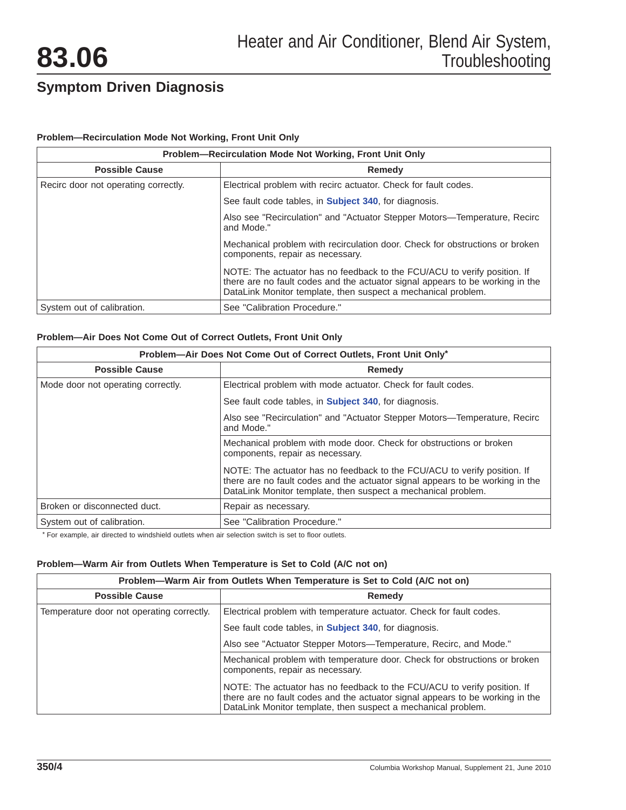### **Problem—Recirculation Mode Not Working, Front Unit Only**

| Problem—Recirculation Mode Not Working, Front Unit Only |                                                                                                                                                                                                                            |
|---------------------------------------------------------|----------------------------------------------------------------------------------------------------------------------------------------------------------------------------------------------------------------------------|
| <b>Possible Cause</b><br>Remedy                         |                                                                                                                                                                                                                            |
| Recirc door not operating correctly.                    | Electrical problem with recirc actuator. Check for fault codes.                                                                                                                                                            |
|                                                         | See fault code tables, in <b>Subject 340</b> , for diagnosis.                                                                                                                                                              |
|                                                         | Also see "Recirculation" and "Actuator Stepper Motors—Temperature, Recirc<br>and Mode."                                                                                                                                    |
|                                                         | Mechanical problem with recirculation door. Check for obstructions or broken<br>components, repair as necessary.                                                                                                           |
|                                                         | NOTE: The actuator has no feedback to the FCU/ACU to verify position. If<br>there are no fault codes and the actuator signal appears to be working in the<br>DataLink Monitor template, then suspect a mechanical problem. |
| System out of calibration.                              | See "Calibration Procedure."                                                                                                                                                                                               |

### **Problem—Air Does Not Come Out of Correct Outlets, Front Unit Only**

| Problem-Air Does Not Come Out of Correct Outlets, Front Unit Only* |                                                                                                                                                                                                                            |
|--------------------------------------------------------------------|----------------------------------------------------------------------------------------------------------------------------------------------------------------------------------------------------------------------------|
| <b>Possible Cause</b>                                              | Remedy                                                                                                                                                                                                                     |
| Mode door not operating correctly.                                 | Electrical problem with mode actuator. Check for fault codes.                                                                                                                                                              |
|                                                                    | See fault code tables, in <b>Subject 340</b> , for diagnosis.                                                                                                                                                              |
|                                                                    | Also see "Recirculation" and "Actuator Stepper Motors—Temperature, Recirc<br>and Mode."                                                                                                                                    |
|                                                                    | Mechanical problem with mode door. Check for obstructions or broken<br>components, repair as necessary.                                                                                                                    |
|                                                                    | NOTE: The actuator has no feedback to the FCU/ACU to verify position. If<br>there are no fault codes and the actuator signal appears to be working in the<br>DataLink Monitor template, then suspect a mechanical problem. |
| Broken or disconnected duct.                                       | Repair as necessary.                                                                                                                                                                                                       |
| System out of calibration.                                         | See "Calibration Procedure."                                                                                                                                                                                               |

\* For example, air directed to windshield outlets when air selection switch is set to floor outlets.

#### **Problem—Warm Air from Outlets When Temperature is Set to Cold (A/C not on)**

| Problem—Warm Air from Outlets When Temperature is Set to Cold (A/C not on) |                                                                                                                                                                                                                            |
|----------------------------------------------------------------------------|----------------------------------------------------------------------------------------------------------------------------------------------------------------------------------------------------------------------------|
| <b>Possible Cause</b>                                                      | Remedy                                                                                                                                                                                                                     |
| Temperature door not operating correctly.                                  | Electrical problem with temperature actuator. Check for fault codes.                                                                                                                                                       |
|                                                                            | See fault code tables, in <b>Subject 340</b> , for diagnosis.                                                                                                                                                              |
|                                                                            | Also see "Actuator Stepper Motors—Temperature, Recirc, and Mode."                                                                                                                                                          |
|                                                                            | Mechanical problem with temperature door. Check for obstructions or broken<br>components, repair as necessary.                                                                                                             |
|                                                                            | NOTE: The actuator has no feedback to the FCU/ACU to verify position. If<br>there are no fault codes and the actuator signal appears to be working in the<br>DataLink Monitor template, then suspect a mechanical problem. |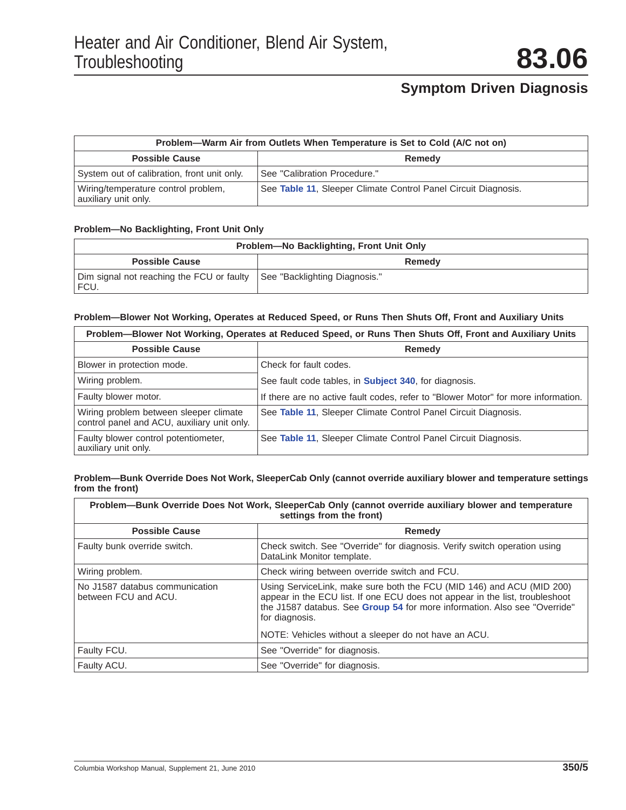| Problem—Warm Air from Outlets When Temperature is Set to Cold (A/C not on) |                                                                |
|----------------------------------------------------------------------------|----------------------------------------------------------------|
| <b>Possible Cause</b>                                                      | <b>Remedy</b>                                                  |
| System out of calibration, front unit only.                                | See "Calibration Procedure."                                   |
| Wiring/temperature control problem,<br>auxiliary unit only.                | See Table 11, Sleeper Climate Control Panel Circuit Diagnosis. |

### **Problem—No Backlighting, Front Unit Only**

| Problem-No Backlighting, Front Unit Only          |                               |
|---------------------------------------------------|-------------------------------|
| <b>Possible Cause</b>                             | Remedy                        |
| Dim signal not reaching the FCU or faulty<br>FCU. | See "Backlighting Diagnosis." |

#### **Problem—Blower Not Working, Operates at Reduced Speed, or Runs Then Shuts Off, Front and Auxiliary Units**

| Problem-Blower Not Working, Operates at Reduced Speed, or Runs Then Shuts Off, Front and Auxiliary Units |                                                                                   |  |  |  |
|----------------------------------------------------------------------------------------------------------|-----------------------------------------------------------------------------------|--|--|--|
| <b>Possible Cause</b>                                                                                    | Remedy                                                                            |  |  |  |
| Blower in protection mode.                                                                               | Check for fault codes.                                                            |  |  |  |
| Wiring problem.                                                                                          | See fault code tables, in <b>Subject 340</b> , for diagnosis.                     |  |  |  |
| Faulty blower motor.                                                                                     | If there are no active fault codes, refer to "Blower Motor" for more information. |  |  |  |
| Wiring problem between sleeper climate<br>control panel and ACU, auxiliary unit only.                    | See Table 11, Sleeper Climate Control Panel Circuit Diagnosis.                    |  |  |  |
| Faulty blower control potentiometer,<br>auxiliary unit only.                                             | See Table 11, Sleeper Climate Control Panel Circuit Diagnosis.                    |  |  |  |

#### **Problem—Bunk Override Does Not Work, SleeperCab Only (cannot override auxiliary blower and temperature settings from the front)**

| Problem—Bunk Override Does Not Work, SleeperCab Only (cannot override auxiliary blower and temperature<br>settings from the front) |                                                                                                                                                                                                                                                      |  |  |  |
|------------------------------------------------------------------------------------------------------------------------------------|------------------------------------------------------------------------------------------------------------------------------------------------------------------------------------------------------------------------------------------------------|--|--|--|
| <b>Possible Cause</b><br>Remedy                                                                                                    |                                                                                                                                                                                                                                                      |  |  |  |
| Faulty bunk override switch.                                                                                                       | Check switch. See "Override" for diagnosis. Verify switch operation using<br>DataLink Monitor template.                                                                                                                                              |  |  |  |
| Wiring problem.                                                                                                                    | Check wiring between override switch and FCU.                                                                                                                                                                                                        |  |  |  |
| No J1587 databus communication<br>between FCU and ACU.                                                                             | Using ServiceLink, make sure both the FCU (MID 146) and ACU (MID 200)<br>appear in the ECU list. If one ECU does not appear in the list, troubleshoot<br>the J1587 databus. See Group 54 for more information. Also see "Override"<br>for diagnosis. |  |  |  |
|                                                                                                                                    | NOTE: Vehicles without a sleeper do not have an ACU.                                                                                                                                                                                                 |  |  |  |
| Faulty FCU.                                                                                                                        | See "Override" for diagnosis.                                                                                                                                                                                                                        |  |  |  |
| Faulty ACU.                                                                                                                        | See "Override" for diagnosis.                                                                                                                                                                                                                        |  |  |  |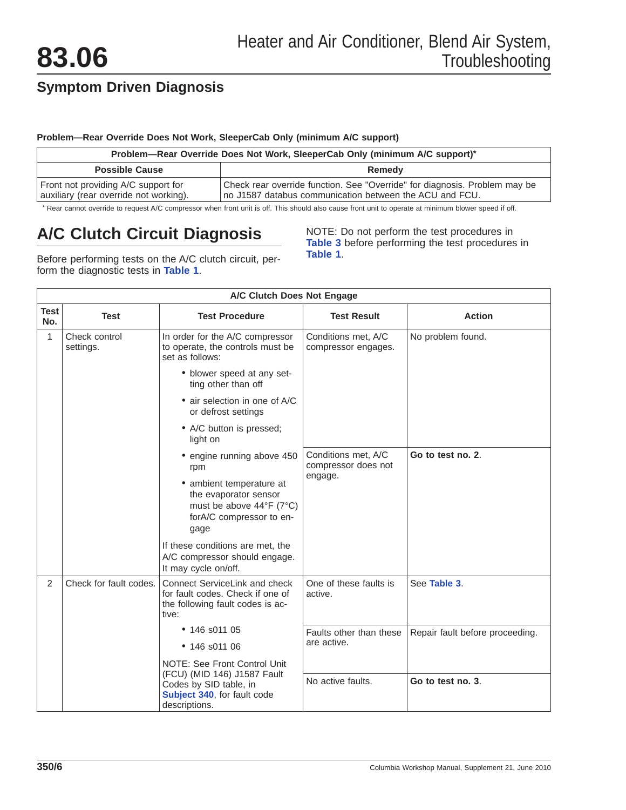### <span id="page-5-0"></span>**Problem—Rear Override Does Not Work, SleeperCab Only (minimum A/C support)**

| Problem-Rear Override Does Not Work, SleeperCab Only (minimum A/C support)*   |                                                                                                                                       |  |  |  |
|-------------------------------------------------------------------------------|---------------------------------------------------------------------------------------------------------------------------------------|--|--|--|
| <b>Possible Cause</b><br>Remedy                                               |                                                                                                                                       |  |  |  |
| Front not providing A/C support for<br>auxiliary (rear override not working). | Check rear override function. See "Override" for diagnosis. Problem may be<br>no J1587 databus communication between the ACU and FCU. |  |  |  |

\* Rear cannot override to request A/C compressor when front unit is off. This should also cause front unit to operate at minimum blower speed if off.

# **A/C Clutch Circuit Diagnosis**

NOTE: Do not perform the test procedures in **[Table 3](#page-7-0)** before performing the test procedures in **Table 1**.

Before performing tests on the A/C clutch circuit, perform the diagnostic tests in **Table 1**.

|             | A/C Clutch Does Not Engage |                                                                                                                                       |                                            |                                 |  |
|-------------|----------------------------|---------------------------------------------------------------------------------------------------------------------------------------|--------------------------------------------|---------------------------------|--|
| Test<br>No. | <b>Test</b>                | <b>Test Procedure</b>                                                                                                                 | <b>Test Result</b>                         | <b>Action</b>                   |  |
| 1           | Check control<br>settings. | In order for the A/C compressor<br>to operate, the controls must be<br>set as follows:                                                | Conditions met, A/C<br>compressor engages. | No problem found.               |  |
|             |                            | • blower speed at any set-<br>ting other than off                                                                                     |                                            |                                 |  |
|             |                            | $\bullet$ air selection in one of A/C<br>or defrost settings                                                                          |                                            |                                 |  |
|             |                            | • A/C button is pressed;<br>light on                                                                                                  |                                            |                                 |  |
|             |                            | • engine running above 450<br>rpm                                                                                                     | Conditions met, A/C<br>compressor does not | Go to test no. 2.               |  |
|             |                            | • ambient temperature at<br>the evaporator sensor<br>must be above $44^{\circ}F$ (7 $^{\circ}C$ )<br>forA/C compressor to en-<br>gage | engage.                                    |                                 |  |
|             |                            | If these conditions are met, the<br>A/C compressor should engage.<br>It may cycle on/off.                                             |                                            |                                 |  |
| 2           | Check for fault codes.     | Connect ServiceLink and check<br>for fault codes. Check if one of<br>the following fault codes is ac-<br>tive:                        | One of these faults is<br>active.          | See Table 3.                    |  |
|             |                            | $\bullet$ 146 s011 05                                                                                                                 | Faults other than these                    | Repair fault before proceeding. |  |
|             |                            | • 146 s011 06                                                                                                                         | are active.                                |                                 |  |
|             |                            | NOTE: See Front Control Unit                                                                                                          |                                            |                                 |  |
|             |                            | (FCU) (MID 146) J1587 Fault<br>Codes by SID table, in<br>Subject 340, for fault code<br>descriptions.                                 | No active faults.                          | Go to test no. 3.               |  |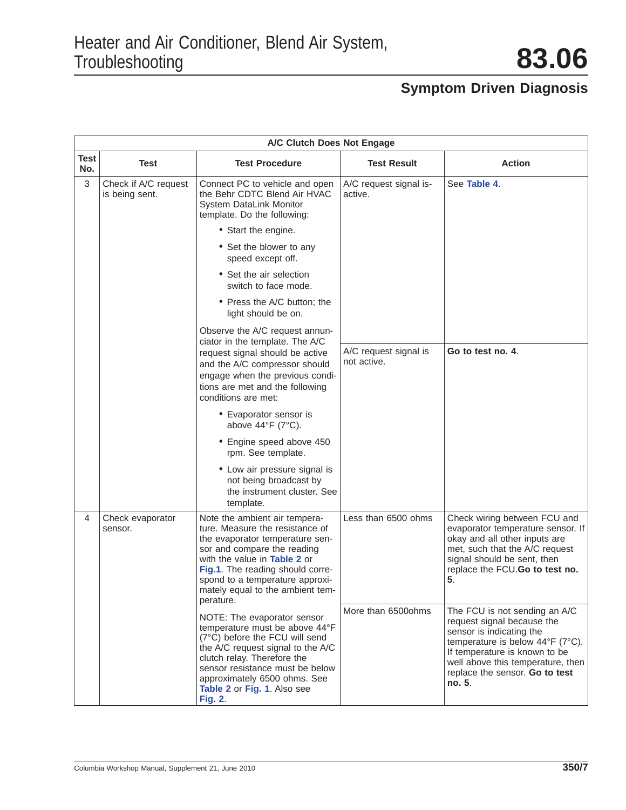|             |                                        | A/C Clutch Does Not Engage                                                                                                                                                                                                                                                                 |                                      |                                                                                                                                                                                                                                               |
|-------------|----------------------------------------|--------------------------------------------------------------------------------------------------------------------------------------------------------------------------------------------------------------------------------------------------------------------------------------------|--------------------------------------|-----------------------------------------------------------------------------------------------------------------------------------------------------------------------------------------------------------------------------------------------|
| Test<br>No. | Test                                   | <b>Test Procedure</b>                                                                                                                                                                                                                                                                      | <b>Test Result</b>                   | <b>Action</b>                                                                                                                                                                                                                                 |
| 3           | Check if A/C request<br>is being sent. | Connect PC to vehicle and open<br>the Behr CDTC Blend Air HVAC<br>System DataLink Monitor<br>template. Do the following:                                                                                                                                                                   | A/C request signal is-<br>active.    | See Table 4.                                                                                                                                                                                                                                  |
|             |                                        | • Start the engine.                                                                                                                                                                                                                                                                        |                                      |                                                                                                                                                                                                                                               |
|             |                                        | • Set the blower to any<br>speed except off.                                                                                                                                                                                                                                               |                                      |                                                                                                                                                                                                                                               |
|             |                                        | • Set the air selection<br>switch to face mode.                                                                                                                                                                                                                                            |                                      |                                                                                                                                                                                                                                               |
|             |                                        | • Press the A/C button; the<br>light should be on.                                                                                                                                                                                                                                         |                                      |                                                                                                                                                                                                                                               |
|             |                                        | Observe the A/C request annun-                                                                                                                                                                                                                                                             |                                      |                                                                                                                                                                                                                                               |
|             |                                        | ciator in the template. The A/C<br>request signal should be active<br>and the A/C compressor should<br>engage when the previous condi-<br>tions are met and the following<br>conditions are met:                                                                                           | A/C request signal is<br>not active. | Go to test no. 4.                                                                                                                                                                                                                             |
|             |                                        | • Evaporator sensor is<br>above $44^{\circ}F$ (7 $^{\circ}C$ ).                                                                                                                                                                                                                            |                                      |                                                                                                                                                                                                                                               |
|             |                                        | • Engine speed above 450<br>rpm. See template.                                                                                                                                                                                                                                             |                                      |                                                                                                                                                                                                                                               |
|             |                                        | • Low air pressure signal is<br>not being broadcast by<br>the instrument cluster. See<br>template.                                                                                                                                                                                         |                                      |                                                                                                                                                                                                                                               |
| 4           | Check evaporator<br>sensor.            | Note the ambient air tempera-<br>ture. Measure the resistance of<br>the evaporator temperature sen-<br>sor and compare the reading<br>with the value in Table 2 or<br>Fig.1. The reading should corre-<br>spond to a temperature approxi-<br>mately equal to the ambient tem-<br>perature. | Less than 6500 ohms                  | Check wiring between FCU and<br>evaporator temperature sensor. If<br>okay and all other inputs are<br>met, such that the A/C request<br>signal should be sent, then<br>replace the FCU.Go to test no.<br>5.                                   |
|             |                                        | NOTE: The evaporator sensor<br>temperature must be above 44°F<br>(7°C) before the FCU will send<br>the A/C request signal to the A/C<br>clutch relay. Therefore the<br>sensor resistance must be below<br>approximately 6500 ohms. See<br>Table 2 or Fig. 1. Also see<br><b>Fig. 2.</b>    | More than 6500ohms                   | The FCU is not sending an A/C<br>request signal because the<br>sensor is indicating the<br>temperature is below 44°F (7°C).<br>If temperature is known to be<br>well above this temperature, then<br>replace the sensor. Go to test<br>no. 5. |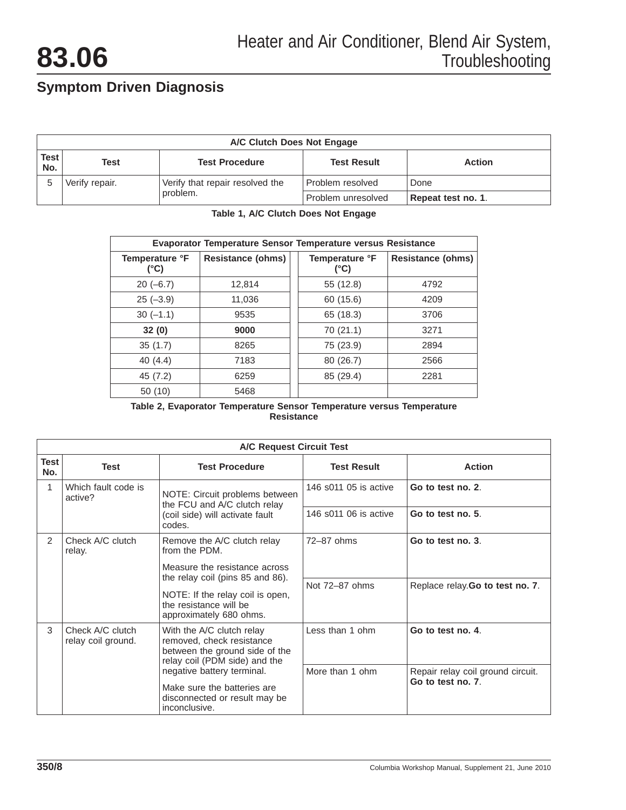<span id="page-7-0"></span>

| A/C Clutch Does Not Engage |                                                                      |                                             |                    |                    |  |
|----------------------------|----------------------------------------------------------------------|---------------------------------------------|--------------------|--------------------|--|
| <b>Test</b><br>No.         | Test<br><b>Test Result</b><br><b>Test Procedure</b><br><b>Action</b> |                                             |                    |                    |  |
|                            | Verify repair.                                                       | Verify that repair resolved the<br>problem. | Problem resolved   | Done               |  |
|                            |                                                                      |                                             | Problem unresolved | Repeat test no. 1. |  |

### **Table 1, A/C Clutch Does Not Engage**

| <b>Evaporator Temperature Sensor Temperature versus Resistance</b> |                          |                        |                          |  |
|--------------------------------------------------------------------|--------------------------|------------------------|--------------------------|--|
| Temperature °F<br>(°C)                                             | <b>Resistance (ohms)</b> | Temperature °F<br>(°C) | <b>Resistance (ohms)</b> |  |
| $20(-6.7)$                                                         | 12,814                   | 55 (12.8)              | 4792                     |  |
| $25(-3.9)$                                                         | 11,036                   | 60 (15.6)              | 4209                     |  |
| $30(-1.1)$                                                         | 9535                     | 65 (18.3)              | 3706                     |  |
| 32(0)                                                              | 9000                     | 70 (21.1)              | 3271                     |  |
| 35(1.7)                                                            | 8265                     | 75 (23.9)              | 2894                     |  |
| 40 $(4.4)$                                                         | 7183                     | 80 (26.7)              | 2566                     |  |
| 45 (7.2)                                                           | 6259                     | 85 (29.4)              | 2281                     |  |
| 50 (10)                                                            | 5468                     |                        |                          |  |

#### **Table 2, Evaporator Temperature Sensor Temperature versus Temperature Resistance**

|                    | <b>A/C Request Circuit Test</b>        |                                                                                                                           |                       |                                   |  |
|--------------------|----------------------------------------|---------------------------------------------------------------------------------------------------------------------------|-----------------------|-----------------------------------|--|
| <b>Test</b><br>No. | <b>Test</b>                            | <b>Test Procedure</b>                                                                                                     | <b>Test Result</b>    | <b>Action</b>                     |  |
| 1                  | Which fault code is<br>active?         | NOTE: Circuit problems between<br>the FCU and A/C clutch relay                                                            | 146 s011 05 is active | Go to test no. 2.                 |  |
|                    |                                        | (coil side) will activate fault<br>codes.                                                                                 | 146 s011 06 is active | Go to test no. 5.                 |  |
| 2                  | Check A/C clutch<br>relay.             | Remove the A/C clutch relay<br>from the PDM.                                                                              | 72-87 ohms            | Go to test no. 3.                 |  |
|                    |                                        | Measure the resistance across                                                                                             |                       |                                   |  |
|                    |                                        | the relay coil (pins 85 and 86).                                                                                          | Not 72-87 ohms        | Replace relay. Go to test no. 7.  |  |
|                    |                                        | NOTE: If the relay coil is open,<br>the resistance will be<br>approximately 680 ohms.                                     |                       |                                   |  |
| 3                  | Check A/C clutch<br>relay coil ground. | With the A/C clutch relay<br>removed, check resistance<br>between the ground side of the<br>relay coil (PDM side) and the | Less than 1 ohm       | Go to test no. 4.                 |  |
|                    |                                        | negative battery terminal.                                                                                                | More than 1 ohm       | Repair relay coil ground circuit. |  |
|                    |                                        | Make sure the batteries are<br>disconnected or result may be<br>inconclusive.                                             |                       | Go to test no. 7                  |  |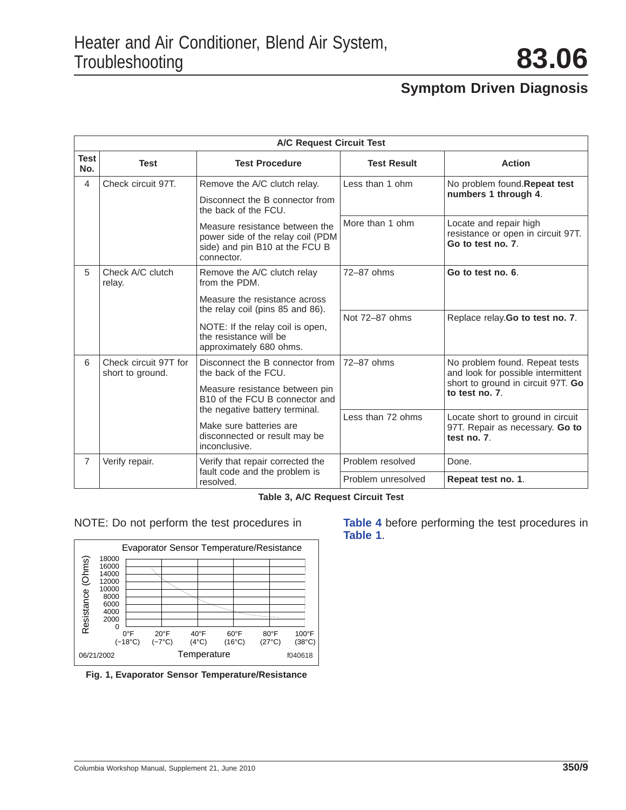<span id="page-8-0"></span>

|                    | <b>A/C Request Circuit Test</b>           |                                                                                                                     |                    |                                                                                     |  |
|--------------------|-------------------------------------------|---------------------------------------------------------------------------------------------------------------------|--------------------|-------------------------------------------------------------------------------------|--|
| <b>Test</b><br>No. | <b>Test</b>                               | <b>Test Procedure</b>                                                                                               | <b>Test Result</b> | <b>Action</b>                                                                       |  |
| 4                  | Check circuit 97T.                        | Remove the A/C clutch relay.                                                                                        | Less than 1 ohm    | No problem found.Repeat test<br>numbers 1 through 4.                                |  |
|                    |                                           | Disconnect the B connector from<br>the back of the FCU.                                                             |                    |                                                                                     |  |
|                    |                                           | Measure resistance between the<br>power side of the relay coil (PDM<br>side) and pin B10 at the FCU B<br>connector. | More than 1 ohm    | Locate and repair high<br>resistance or open in circuit 97T.<br>Go to test no. 7.   |  |
| 5                  | Check A/C clutch<br>relay.                | Remove the A/C clutch relay<br>from the PDM.                                                                        | 72-87 ohms         | Go to test no. 6.                                                                   |  |
|                    | Measure the resistance across             | the relay coil (pins 85 and 86).                                                                                    |                    |                                                                                     |  |
|                    |                                           | NOTE: If the relay coil is open,<br>the resistance will be<br>approximately 680 ohms.                               | Not 72-87 ohms     | Replace relay. Go to test no. 7.                                                    |  |
| 6                  | Check circuit 97T for<br>short to ground. | Disconnect the B connector from<br>the back of the FCU.                                                             | 72-87 ohms         | No problem found. Repeat tests<br>and look for possible intermittent                |  |
|                    |                                           | Measure resistance between pin<br>B10 of the FCU B connector and<br>the negative battery terminal.                  |                    | short to ground in circuit 97T. Go<br>to test no. 7.                                |  |
|                    |                                           | Make sure batteries are<br>disconnected or result may be<br>inconclusive.                                           | Less than 72 ohms  | Locate short to ground in circuit<br>97T. Repair as necessary. Go to<br>test no. 7. |  |
| $\overline{7}$     | Verify repair.                            | Verify that repair corrected the                                                                                    | Problem resolved   | Done.                                                                               |  |
|                    |                                           | fault code and the problem is<br>resolved.                                                                          | Problem unresolved | Repeat test no. 1.                                                                  |  |

**Table 3, A/C Request Circuit Test**



**Fig. 1, Evaporator Sensor Temperature/Resistance**

NOTE: Do not perform the test procedures in **[Table 4](#page-9-0)** before performing the test procedures in **[Table 1](#page-5-0)**.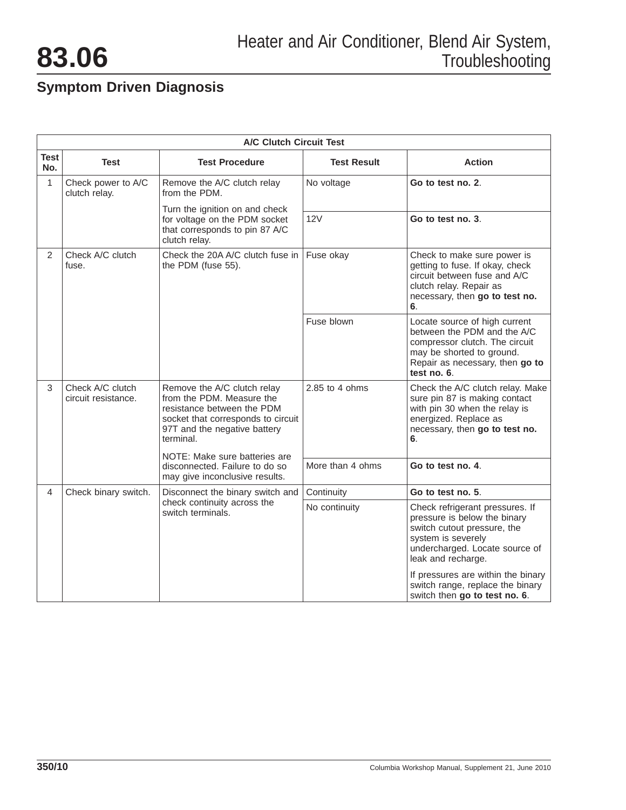<span id="page-9-0"></span>

|                    | <b>A/C Clutch Circuit Test</b>                                                      |                                                                                                                                                                           |                                                                                                                                                                   |                                                                                                                                                                                                                    |  |
|--------------------|-------------------------------------------------------------------------------------|---------------------------------------------------------------------------------------------------------------------------------------------------------------------------|-------------------------------------------------------------------------------------------------------------------------------------------------------------------|--------------------------------------------------------------------------------------------------------------------------------------------------------------------------------------------------------------------|--|
| <b>Test</b><br>No. | Test                                                                                | <b>Test Procedure</b>                                                                                                                                                     | <b>Test Result</b>                                                                                                                                                | <b>Action</b>                                                                                                                                                                                                      |  |
| 1                  | Check power to A/C<br>clutch relay.                                                 | Remove the A/C clutch relay<br>from the PDM.                                                                                                                              | No voltage                                                                                                                                                        | Go to test no. 2.                                                                                                                                                                                                  |  |
|                    |                                                                                     | Turn the ignition on and check<br>for voltage on the PDM socket<br>that corresponds to pin 87 A/C<br>clutch relay.                                                        | 12V                                                                                                                                                               | Go to test no. 3.                                                                                                                                                                                                  |  |
| $\overline{2}$     | Check A/C clutch<br>Check the 20A A/C clutch fuse in<br>fuse.<br>the PDM (fuse 55). | Fuse okay                                                                                                                                                                 | Check to make sure power is<br>getting to fuse. If okay, check<br>circuit between fuse and A/C<br>clutch relay. Repair as<br>necessary, then go to test no.<br>6. |                                                                                                                                                                                                                    |  |
|                    |                                                                                     |                                                                                                                                                                           | Fuse blown                                                                                                                                                        | Locate source of high current<br>between the PDM and the A/C<br>compressor clutch. The circuit<br>may be shorted to ground.<br>Repair as necessary, then go to<br>test no. 6.                                      |  |
| 3                  | Check A/C clutch<br>circuit resistance.                                             | Remove the A/C clutch relay<br>from the PDM. Measure the<br>resistance between the PDM<br>socket that corresponds to circuit<br>97T and the negative battery<br>terminal. | 2.85 to 4 ohms                                                                                                                                                    | Check the A/C clutch relay. Make<br>sure pin 87 is making contact<br>with pin 30 when the relay is<br>energized. Replace as<br>necessary, then go to test no.<br>6.                                                |  |
|                    |                                                                                     | NOTE: Make sure batteries are<br>disconnected. Failure to do so<br>may give inconclusive results.                                                                         | More than 4 ohms                                                                                                                                                  | Go to test no. 4                                                                                                                                                                                                   |  |
| 4                  | Check binary switch.                                                                | Disconnect the binary switch and                                                                                                                                          | Continuity                                                                                                                                                        | Go to test no. 5.                                                                                                                                                                                                  |  |
|                    |                                                                                     | check continuity across the<br>switch terminals.                                                                                                                          | No continuity                                                                                                                                                     | Check refrigerant pressures. If<br>pressure is below the binary<br>switch cutout pressure, the<br>system is severely<br>undercharged. Locate source of<br>leak and recharge.<br>If pressures are within the binary |  |
|                    |                                                                                     |                                                                                                                                                                           |                                                                                                                                                                   | switch range, replace the binary<br>switch then go to test no. 6.                                                                                                                                                  |  |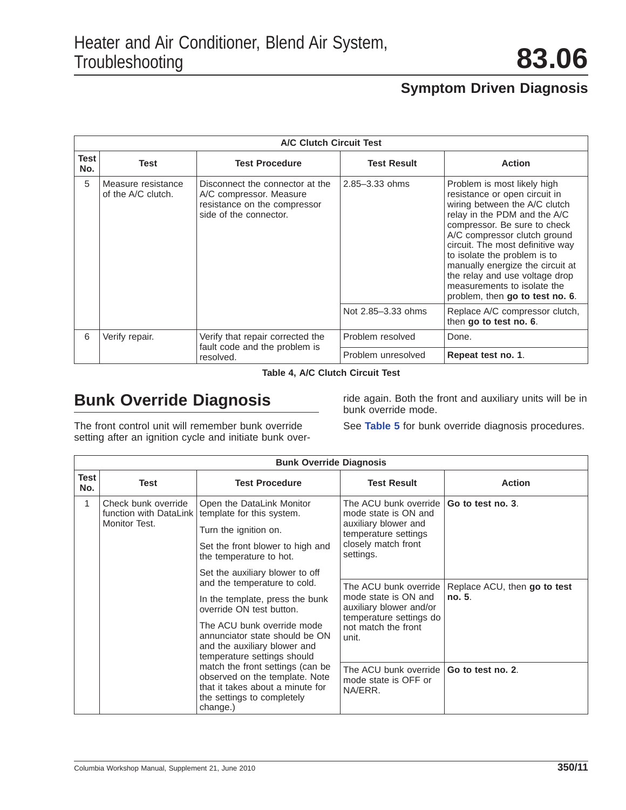|                    | <b>A/C Clutch Circuit Test</b>           |                                                                                                                      |                    |                                                                                                                                                                                                                                                                                                                                                                                                           |  |
|--------------------|------------------------------------------|----------------------------------------------------------------------------------------------------------------------|--------------------|-----------------------------------------------------------------------------------------------------------------------------------------------------------------------------------------------------------------------------------------------------------------------------------------------------------------------------------------------------------------------------------------------------------|--|
| <b>Test</b><br>No. | <b>Test</b>                              | <b>Test Procedure</b>                                                                                                | <b>Test Result</b> | <b>Action</b>                                                                                                                                                                                                                                                                                                                                                                                             |  |
| 5                  | Measure resistance<br>of the A/C clutch. | Disconnect the connector at the<br>A/C compressor. Measure<br>resistance on the compressor<br>side of the connector. | $2.85 - 3.33$ ohms | Problem is most likely high<br>resistance or open circuit in<br>wiring between the A/C clutch<br>relay in the PDM and the A/C<br>compressor. Be sure to check<br>A/C compressor clutch ground<br>circuit. The most definitive way<br>to isolate the problem is to<br>manually energize the circuit at<br>the relay and use voltage drop<br>measurements to isolate the<br>problem, then go to test no. 6. |  |
|                    |                                          |                                                                                                                      | Not 2.85-3.33 ohms | Replace A/C compressor clutch,<br>then go to test no. 6.                                                                                                                                                                                                                                                                                                                                                  |  |
| 6                  | Verify repair.                           | Verify that repair corrected the<br>fault code and the problem is<br>resolved.                                       | Problem resolved   | Done.                                                                                                                                                                                                                                                                                                                                                                                                     |  |
|                    |                                          |                                                                                                                      | Problem unresolved | Repeat test no. 1.                                                                                                                                                                                                                                                                                                                                                                                        |  |

**Table 4, A/C Clutch Circuit Test**

## **Bunk Override Diagnosis**

The front control unit will remember bunk override setting after an ignition cycle and initiate bunk over-

ride again. Both the front and auxiliary units will be in bunk override mode.

See **Table 5** for bunk override diagnosis procedures.

|                    | <b>Bunk Override Diagnosis</b>       |                                                                                                                                                  |                                                                                                                                   |                              |  |
|--------------------|--------------------------------------|--------------------------------------------------------------------------------------------------------------------------------------------------|-----------------------------------------------------------------------------------------------------------------------------------|------------------------------|--|
| <b>Test</b><br>No. | <b>Test</b>                          | <b>Test Procedure</b>                                                                                                                            | <b>Test Result</b>                                                                                                                | <b>Action</b>                |  |
| $\mathbf{1}$       | Check bunk override<br>Monitor Test. | Open the DataLink Monitor<br>function with DataLink   template for this system.                                                                  | The ACU bunk override<br>mode state is ON and<br>auxiliary blower and<br>temperature settings<br>closely match front<br>settings. | Go to test no. 3.            |  |
|                    |                                      | Turn the ignition on.<br>Set the front blower to high and<br>the temperature to hot.                                                             |                                                                                                                                   |                              |  |
|                    |                                      | Set the auxiliary blower to off                                                                                                                  |                                                                                                                                   |                              |  |
|                    |                                      | and the temperature to cold.                                                                                                                     | The ACU bunk override                                                                                                             | Replace ACU, then go to test |  |
|                    |                                      | In the template, press the bunk<br>override ON test button.                                                                                      | mode state is ON and<br>auxiliary blower and/or<br>temperature settings do<br>not match the front<br>unit.                        | no. 5.                       |  |
|                    |                                      | The ACU bunk override mode<br>annunciator state should be ON<br>and the auxiliary blower and<br>temperature settings should                      |                                                                                                                                   |                              |  |
|                    |                                      | match the front settings (can be<br>observed on the template. Note<br>that it takes about a minute for<br>the settings to completely<br>change.) | The ACU bunk override <b>Go to test no. 2.</b><br>mode state is OFF or<br>NA/ERR.                                                 |                              |  |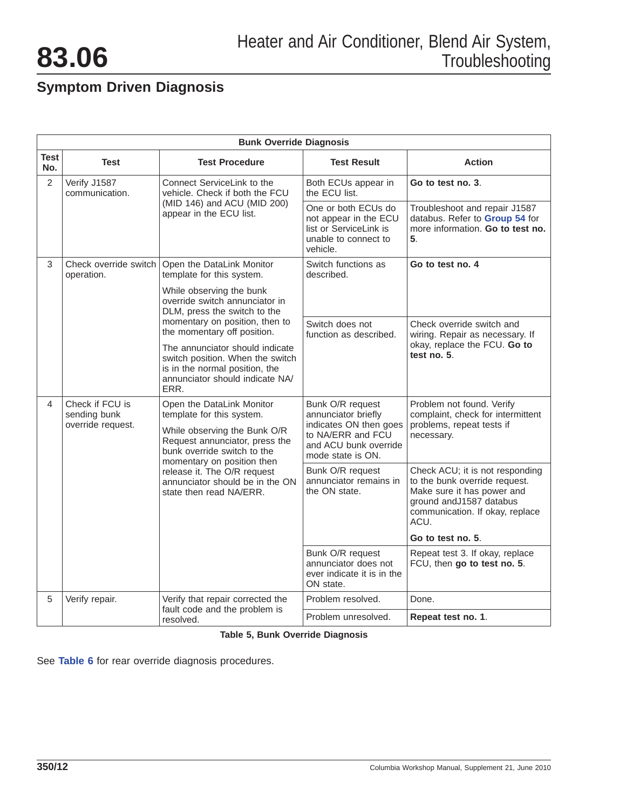|                    | <b>Bunk Override Diagnosis</b>                         |                                                                                                                                                                                                                                                                                    |                                                                                                                                      |                                                                                                                                                                       |  |  |  |
|--------------------|--------------------------------------------------------|------------------------------------------------------------------------------------------------------------------------------------------------------------------------------------------------------------------------------------------------------------------------------------|--------------------------------------------------------------------------------------------------------------------------------------|-----------------------------------------------------------------------------------------------------------------------------------------------------------------------|--|--|--|
| <b>Test</b><br>No. | Test                                                   | <b>Test Procedure</b>                                                                                                                                                                                                                                                              | <b>Test Result</b>                                                                                                                   | <b>Action</b>                                                                                                                                                         |  |  |  |
| 2                  | Verify J1587<br>communication.                         | Connect ServiceLink to the<br>vehicle. Check if both the FCU                                                                                                                                                                                                                       | Both ECUs appear in<br>the ECU list.                                                                                                 | Go to test no. 3.                                                                                                                                                     |  |  |  |
|                    | (MID 146) and ACU (MID 200)<br>appear in the ECU list. | One or both ECUs do<br>not appear in the ECU<br>list or ServiceLink is<br>unable to connect to<br>vehicle.                                                                                                                                                                         | Troubleshoot and repair J1587<br>databus. Refer to Group 54 for<br>more information. Go to test no.<br>5.                            |                                                                                                                                                                       |  |  |  |
| 3                  | Check override switch<br>operation.                    | Open the DataLink Monitor<br>template for this system.                                                                                                                                                                                                                             | Switch functions as<br>described.                                                                                                    | Go to test no. 4                                                                                                                                                      |  |  |  |
|                    |                                                        | While observing the bunk<br>override switch annunciator in<br>DLM, press the switch to the                                                                                                                                                                                         |                                                                                                                                      |                                                                                                                                                                       |  |  |  |
|                    |                                                        | momentary on position, then to<br>the momentary off position.                                                                                                                                                                                                                      | Switch does not<br>function as described.                                                                                            | Check override switch and<br>wiring. Repair as necessary. If                                                                                                          |  |  |  |
|                    |                                                        | The annunciator should indicate<br>switch position. When the switch<br>is in the normal position, the<br>annunciator should indicate NA/<br>ERR.                                                                                                                                   |                                                                                                                                      | okay, replace the FCU. Go to<br>test no. 5.                                                                                                                           |  |  |  |
| 4                  | Check if FCU is<br>sending bunk<br>override request.   | Open the DataLink Monitor<br>template for this system.<br>While observing the Bunk O/R<br>Request annunciator, press the<br>bunk override switch to the<br>momentary on position then<br>release it. The O/R request<br>annunciator should be in the ON<br>state then read NA/ERR. | Bunk O/R request<br>annunciator briefly<br>indicates ON then goes<br>to NA/ERR and FCU<br>and ACU bunk override<br>mode state is ON. | Problem not found. Verify<br>complaint, check for intermittent<br>problems, repeat tests if<br>necessary.                                                             |  |  |  |
|                    |                                                        |                                                                                                                                                                                                                                                                                    | Bunk O/R request<br>annunciator remains in<br>the ON state.                                                                          | Check ACU; it is not responding<br>to the bunk override request.<br>Make sure it has power and<br>ground and J1587 databus<br>communication. If okay, replace<br>ACU. |  |  |  |
|                    |                                                        |                                                                                                                                                                                                                                                                                    |                                                                                                                                      | Go to test no. 5.                                                                                                                                                     |  |  |  |
|                    |                                                        |                                                                                                                                                                                                                                                                                    | Bunk O/R request<br>annunciator does not<br>ever indicate it is in the<br>ON state.                                                  | Repeat test 3. If okay, replace<br>FCU, then go to test no. 5.                                                                                                        |  |  |  |
| 5                  | Verify repair.                                         | Verify that repair corrected the                                                                                                                                                                                                                                                   | Problem resolved.                                                                                                                    | Done.                                                                                                                                                                 |  |  |  |
|                    |                                                        | fault code and the problem is<br>resolved.                                                                                                                                                                                                                                         | Problem unresolved.                                                                                                                  | Repeat test no. 1.                                                                                                                                                    |  |  |  |

**Table 5, Bunk Override Diagnosis**

See **[Table 6](#page-12-0)** for rear override diagnosis procedures.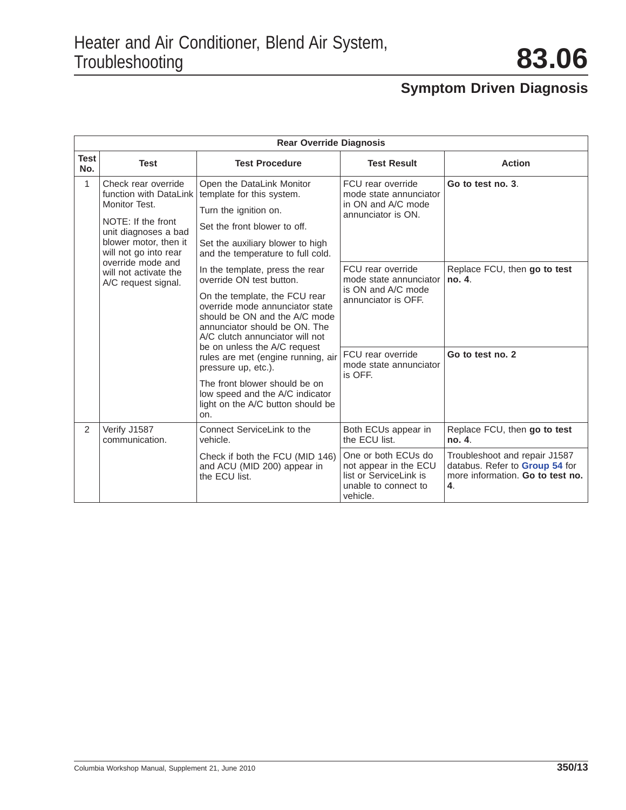<span id="page-12-0"></span>

|                    | <b>Rear Override Diagnosis</b>                                                                                                                                                                                                      |                                                                                                                                                                                                                                      |                                                                                                            |                                                                                                           |  |  |  |
|--------------------|-------------------------------------------------------------------------------------------------------------------------------------------------------------------------------------------------------------------------------------|--------------------------------------------------------------------------------------------------------------------------------------------------------------------------------------------------------------------------------------|------------------------------------------------------------------------------------------------------------|-----------------------------------------------------------------------------------------------------------|--|--|--|
| <b>Test</b><br>No. | <b>Test</b>                                                                                                                                                                                                                         | <b>Test Procedure</b>                                                                                                                                                                                                                | <b>Test Result</b>                                                                                         | <b>Action</b>                                                                                             |  |  |  |
| 1                  | Check rear override<br>function with DataLink<br>Monitor Test.<br>NOTE: If the front<br>unit diagnoses a bad<br>blower motor, then it<br>will not go into rear<br>override mode and<br>will not activate the<br>A/C request signal. | Open the DataLink Monitor<br>template for this system.<br>Turn the ignition on.<br>Set the front blower to off.<br>Set the auxiliary blower to high<br>and the temperature to full cold.                                             | FCU rear override<br>mode state annunciator<br>in ON and A/C mode<br>annunciator is ON.                    | Go to test no. 3.                                                                                         |  |  |  |
|                    |                                                                                                                                                                                                                                     | In the template, press the rear<br>override ON test button.<br>On the template, the FCU rear<br>override mode annunciator state<br>should be ON and the A/C mode<br>annunciator should be ON. The<br>A/C clutch annunciator will not | FCU rear override<br>mode state annunciator<br>is ON and A/C mode<br>annunciator is OFF.                   | Replace FCU, then go to test<br>no. 4.                                                                    |  |  |  |
|                    |                                                                                                                                                                                                                                     | be on unless the A/C request<br>rules are met (engine running, air<br>pressure up, etc.).<br>The front blower should be on<br>low speed and the A/C indicator<br>light on the A/C button should be<br>on.                            | FCU rear override<br>mode state annunciator<br>is OFF.                                                     | Go to test no. 2                                                                                          |  |  |  |
| 2                  | Verify J1587<br>communication.                                                                                                                                                                                                      | Connect ServiceLink to the<br>vehicle.                                                                                                                                                                                               | Both ECUs appear in<br>the ECU list.                                                                       | Replace FCU, then go to test<br>no. 4.                                                                    |  |  |  |
|                    |                                                                                                                                                                                                                                     | Check if both the FCU (MID 146)<br>and ACU (MID 200) appear in<br>the ECU list.                                                                                                                                                      | One or both ECUs do<br>not appear in the ECU<br>list or ServiceLink is<br>unable to connect to<br>vehicle. | Troubleshoot and repair J1587<br>databus. Refer to Group 54 for<br>more information. Go to test no.<br>4. |  |  |  |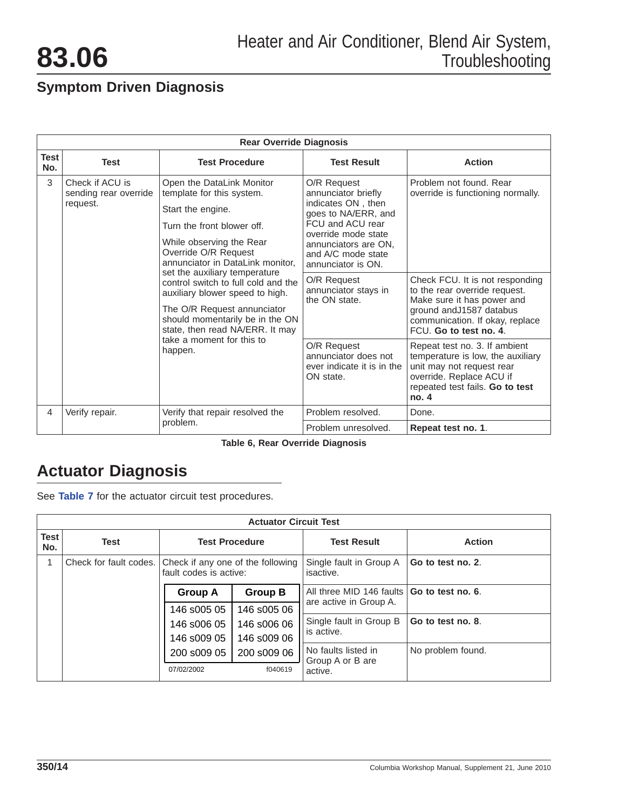|                    | <b>Rear Override Diagnosis</b>                                                                                                                                                                                                                       |                                                                                                                                                                                                   |                                                                                                                                                                                                |                                                              |  |  |  |
|--------------------|------------------------------------------------------------------------------------------------------------------------------------------------------------------------------------------------------------------------------------------------------|---------------------------------------------------------------------------------------------------------------------------------------------------------------------------------------------------|------------------------------------------------------------------------------------------------------------------------------------------------------------------------------------------------|--------------------------------------------------------------|--|--|--|
| <b>Test</b><br>No. | <b>Test</b>                                                                                                                                                                                                                                          | <b>Test Procedure</b>                                                                                                                                                                             | <b>Test Result</b>                                                                                                                                                                             | <b>Action</b>                                                |  |  |  |
| 3                  | Check if ACU is<br>sending rear override<br>request.                                                                                                                                                                                                 | Open the DataLink Monitor<br>template for this system.<br>Start the engine.<br>Turn the front blower off.<br>While observing the Rear<br>Override O/R Request<br>annunciator in DataLink monitor. | O/R Request<br>annunciator briefly<br>indicates ON, then<br>goes to NA/ERR, and<br>FCU and ACU rear<br>override mode state<br>annunciators are ON.<br>and A/C mode state<br>annunciator is ON. | Problem not found. Rear<br>override is functioning normally. |  |  |  |
|                    | set the auxiliary temperature<br>control switch to full cold and the<br>auxiliary blower speed to high.<br>The O/R Request annunciator<br>should momentarily be in the ON<br>state, then read NA/ERR. It may<br>take a moment for this to<br>happen. | O/R Request<br>annunciator stays in<br>the ON state.                                                                                                                                              | Check FCU. It is not responding<br>to the rear override request.<br>Make sure it has power and<br>ground and J1587 databus<br>communication. If okay, replace<br>FCU. Go to test no. 4.        |                                                              |  |  |  |
|                    |                                                                                                                                                                                                                                                      | O/R Request<br>annunciator does not<br>ever indicate it is in the<br>ON state.                                                                                                                    | Repeat test no. 3. If ambient<br>temperature is low, the auxiliary<br>unit may not request rear<br>override. Replace ACU if<br>repeated test fails. Go to test<br>no. 4                        |                                                              |  |  |  |
| 4                  | Verify repair.                                                                                                                                                                                                                                       | Verify that repair resolved the                                                                                                                                                                   | Problem resolved.                                                                                                                                                                              | Done.                                                        |  |  |  |
|                    |                                                                                                                                                                                                                                                      | problem.                                                                                                                                                                                          | Problem unresolved.                                                                                                                                                                            | Repeat test no. 1.                                           |  |  |  |

**Table 6, Rear Override Diagnosis**

## **Actuator Diagnosis**

See **Table 7** for the actuator circuit test procedures.

|                    | <b>Actuator Circuit Test</b> |                                                             |                |                                                    |                   |  |  |
|--------------------|------------------------------|-------------------------------------------------------------|----------------|----------------------------------------------------|-------------------|--|--|
| <b>Test</b><br>No. | <b>Test</b>                  | <b>Test Procedure</b>                                       |                | <b>Test Result</b>                                 | <b>Action</b>     |  |  |
|                    | Check for fault codes.       | Check if any one of the following<br>fault codes is active: |                | Single fault in Group A<br>isactive.               | Go to test no. 2. |  |  |
|                    |                              | <b>Group A</b>                                              | <b>Group B</b> | All three MID 146 faults<br>are active in Group A. | Go to test no. 6. |  |  |
|                    |                              | 146 s005 05                                                 | 146 s005 06    |                                                    |                   |  |  |
|                    |                              | 146 s006 05                                                 | 146 s006 06    | Single fault in Group B<br>is active.              | Go to test no. 8. |  |  |
|                    |                              | 146 s009 05                                                 | 146 s009 06    |                                                    |                   |  |  |
|                    |                              | 200 s009 05                                                 | 200 s009 06    | No faults listed in<br>Group A or B are            | No problem found. |  |  |
|                    |                              | 07/02/2002                                                  | f040619        | active.                                            |                   |  |  |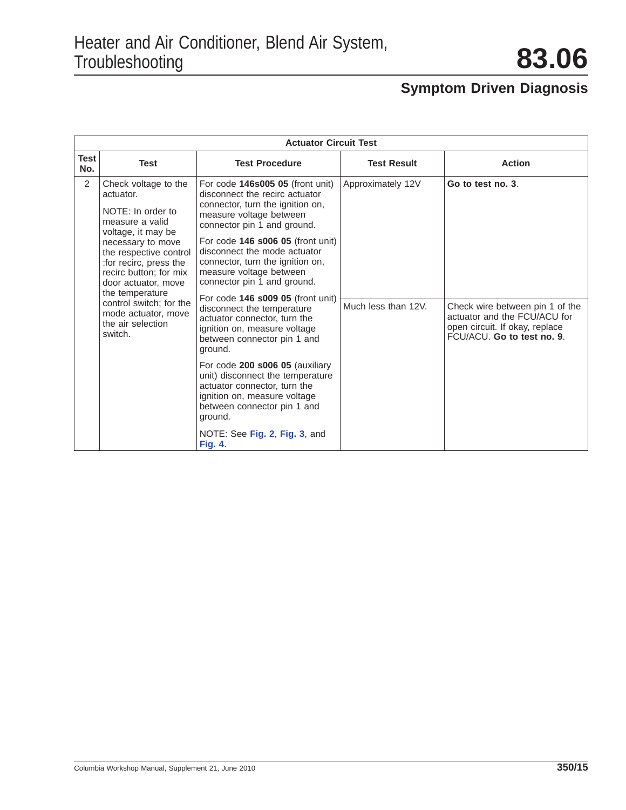|             | <b>Actuator Circuit Test</b>                                                                                                                                                                                                                                                                                                                                                                                                                                                                                                                                                                                                                                                                                                                                                                                                                                                                                                                                                                                                                 |                                                 |                     |                                                                                                                                 |  |  |  |
|-------------|----------------------------------------------------------------------------------------------------------------------------------------------------------------------------------------------------------------------------------------------------------------------------------------------------------------------------------------------------------------------------------------------------------------------------------------------------------------------------------------------------------------------------------------------------------------------------------------------------------------------------------------------------------------------------------------------------------------------------------------------------------------------------------------------------------------------------------------------------------------------------------------------------------------------------------------------------------------------------------------------------------------------------------------------|-------------------------------------------------|---------------------|---------------------------------------------------------------------------------------------------------------------------------|--|--|--|
| Test<br>No. | <b>Test</b>                                                                                                                                                                                                                                                                                                                                                                                                                                                                                                                                                                                                                                                                                                                                                                                                                                                                                                                                                                                                                                  | <b>Test Procedure</b>                           | <b>Test Result</b>  | <b>Action</b>                                                                                                                   |  |  |  |
| 2           | Check voltage to the<br>For code $146s00505$ (front unit)<br>disconnect the recirc actuator<br>actuator.<br>connector, turn the ignition on,<br>NOTE: In order to<br>measure voltage between<br>measure a valid<br>connector pin 1 and ground.<br>voltage, it may be<br>For code <b>146 s006 05</b> (front unit)<br>necessary to move<br>disconnect the mode actuator<br>the respective control<br>connector, turn the ignition on,<br>: for recirc, press the<br>measure voltage between<br>recirc button; for mix<br>connector pin 1 and ground.<br>door actuator, move<br>the temperature<br>For code 146 s009 05 (front unit)<br>control switch; for the<br>disconnect the temperature<br>mode actuator, move<br>actuator connector, turn the<br>the air selection<br>ignition on, measure voltage<br>switch.<br>between connector pin 1 and<br>ground.<br>For code 200 s006 05 (auxiliary<br>unit) disconnect the temperature<br>actuator connector, turn the<br>ignition on, measure voltage<br>between connector pin 1 and<br>ground. |                                                 | Approximately 12V   | Go to test no. 3.                                                                                                               |  |  |  |
|             |                                                                                                                                                                                                                                                                                                                                                                                                                                                                                                                                                                                                                                                                                                                                                                                                                                                                                                                                                                                                                                              |                                                 |                     |                                                                                                                                 |  |  |  |
|             |                                                                                                                                                                                                                                                                                                                                                                                                                                                                                                                                                                                                                                                                                                                                                                                                                                                                                                                                                                                                                                              |                                                 | Much less than 12V. | Check wire between pin 1 of the<br>actuator and the FCU/ACU for<br>open circuit. If okay, replace<br>FCU/ACU. Go to test no. 9. |  |  |  |
|             |                                                                                                                                                                                                                                                                                                                                                                                                                                                                                                                                                                                                                                                                                                                                                                                                                                                                                                                                                                                                                                              |                                                 |                     |                                                                                                                                 |  |  |  |
|             |                                                                                                                                                                                                                                                                                                                                                                                                                                                                                                                                                                                                                                                                                                                                                                                                                                                                                                                                                                                                                                              | NOTE: See Fig. 2, Fig. 3, and<br><b>Fig. 4.</b> |                     |                                                                                                                                 |  |  |  |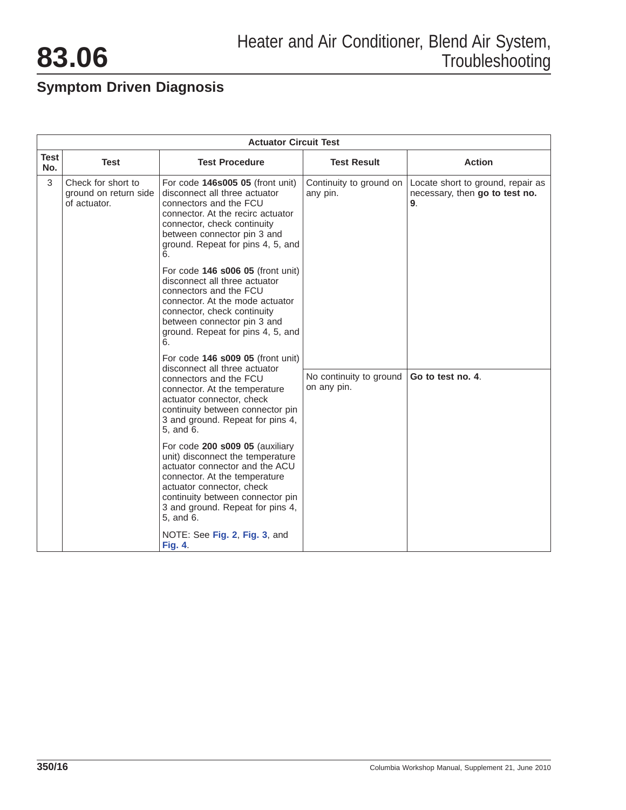

|                    |                                                             | <b>Actuator Circuit Test</b>                                                                                                                                                                                                                             |                                        |                                                                           |
|--------------------|-------------------------------------------------------------|----------------------------------------------------------------------------------------------------------------------------------------------------------------------------------------------------------------------------------------------------------|----------------------------------------|---------------------------------------------------------------------------|
| <b>Test</b><br>No. | <b>Test</b>                                                 | <b>Test Procedure</b>                                                                                                                                                                                                                                    | <b>Test Result</b>                     | <b>Action</b>                                                             |
| 3                  | Check for short to<br>ground on return side<br>of actuator. | For code 146s005 05 (front unit)<br>disconnect all three actuator<br>connectors and the FCU<br>connector. At the recirc actuator<br>connector, check continuity<br>between connector pin 3 and<br>ground. Repeat for pins 4, 5, and<br>6.                | Continuity to ground on<br>any pin.    | Locate short to ground, repair as<br>necessary, then go to test no.<br>9. |
|                    |                                                             | For code 146 s006 05 (front unit)<br>disconnect all three actuator<br>connectors and the FCU<br>connector. At the mode actuator<br>connector, check continuity<br>between connector pin 3 and<br>ground. Repeat for pins 4, 5, and<br>6.                 |                                        |                                                                           |
|                    |                                                             | For code 146 s009 05 (front unit)<br>disconnect all three actuator<br>connectors and the FCU<br>connector. At the temperature<br>actuator connector, check<br>continuity between connector pin<br>3 and ground. Repeat for pins 4,<br>5, and 6.          | No continuity to ground<br>on any pin. | Go to test no. 4.                                                         |
|                    |                                                             | For code 200 s009 05 (auxiliary<br>unit) disconnect the temperature<br>actuator connector and the ACU<br>connector. At the temperature<br>actuator connector, check<br>continuity between connector pin<br>3 and ground. Repeat for pins 4,<br>5, and 6. |                                        |                                                                           |
|                    |                                                             | NOTE: See Fig. 2, Fig. 3, and<br><b>Fig. 4.</b>                                                                                                                                                                                                          |                                        |                                                                           |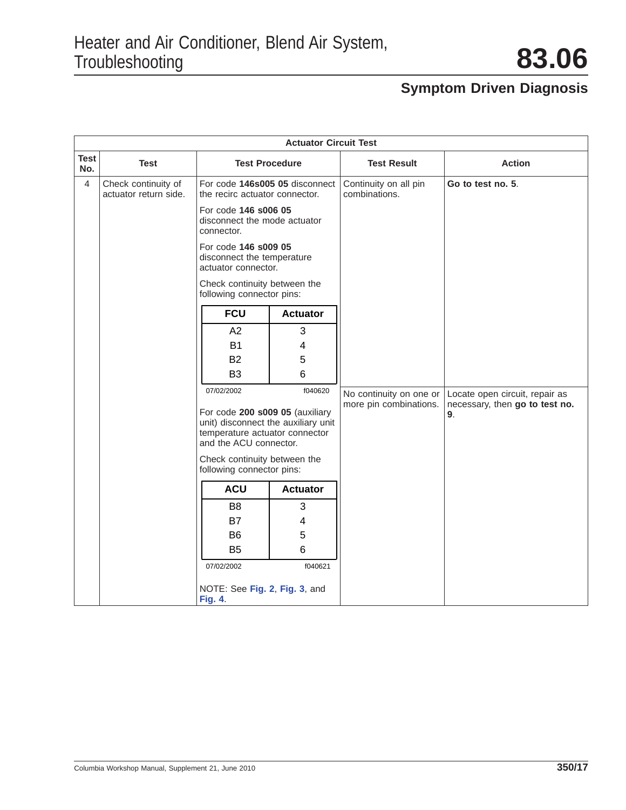|                    |                                              |                                             | <b>Actuator Circuit Test</b>                                                                             |                                        |                                      |
|--------------------|----------------------------------------------|---------------------------------------------|----------------------------------------------------------------------------------------------------------|----------------------------------------|--------------------------------------|
| <b>Test</b><br>No. | <b>Test</b>                                  |                                             | <b>Test Procedure</b>                                                                                    | <b>Test Result</b>                     | <b>Action</b>                        |
| 4                  | Check continuity of<br>actuator return side. |                                             | For code 146s005 05 disconnect<br>the recirc actuator connector.                                         | Continuity on all pin<br>combinations. | Go to test no. 5.                    |
|                    |                                              | For code 146 s006 05<br>connector.          | disconnect the mode actuator                                                                             |                                        |                                      |
|                    |                                              | For code 146 s009 05<br>actuator connector. | disconnect the temperature                                                                               |                                        |                                      |
|                    |                                              | following connector pins:                   | Check continuity between the                                                                             |                                        |                                      |
|                    |                                              | <b>FCU</b>                                  | <b>Actuator</b>                                                                                          |                                        |                                      |
|                    |                                              | A2                                          | 3                                                                                                        |                                        |                                      |
|                    |                                              | <b>B1</b>                                   | 4                                                                                                        |                                        |                                      |
|                    |                                              | <b>B2</b>                                   | 5                                                                                                        |                                        |                                      |
|                    |                                              | B <sub>3</sub>                              | 6                                                                                                        |                                        |                                      |
|                    |                                              | 07/02/2002                                  | f040620                                                                                                  | No continuity on one or                | Locate open circuit, repair as       |
|                    |                                              | and the ACU connector.                      | For code 200 s009 05 (auxiliary<br>unit) disconnect the auxiliary unit<br>temperature actuator connector | more pin combinations.                 | necessary, then go to test no.<br>9. |
|                    |                                              | following connector pins:                   | Check continuity between the                                                                             |                                        |                                      |
|                    |                                              | <b>ACU</b>                                  | <b>Actuator</b>                                                                                          |                                        |                                      |
|                    |                                              | B <sub>8</sub>                              | 3                                                                                                        |                                        |                                      |
|                    |                                              | <b>B7</b>                                   | 4                                                                                                        |                                        |                                      |
|                    |                                              | B <sub>6</sub>                              | 5                                                                                                        |                                        |                                      |
|                    |                                              | <b>B5</b>                                   | 6                                                                                                        |                                        |                                      |
|                    |                                              | 07/02/2002                                  | f040621                                                                                                  |                                        |                                      |
|                    |                                              | <b>Fig. 4.</b>                              | NOTE: See Fig. 2, Fig. 3, and                                                                            |                                        |                                      |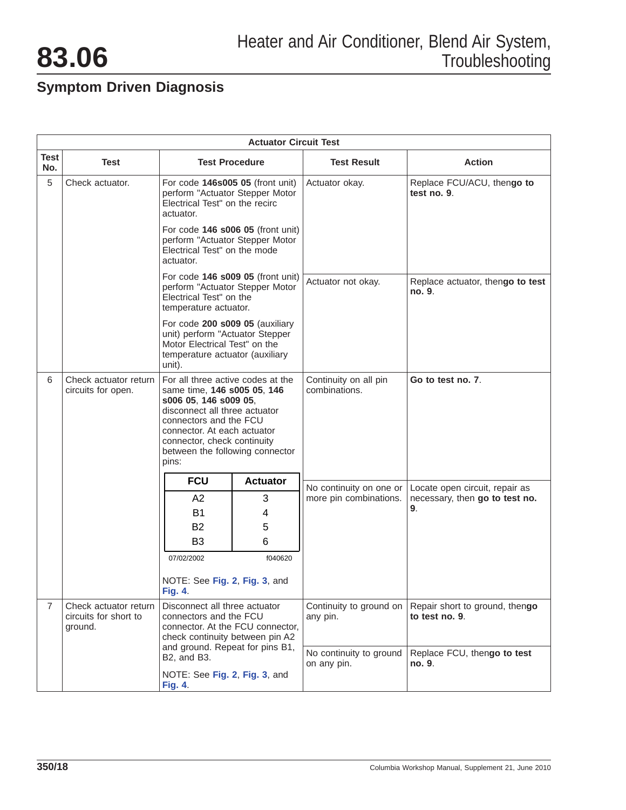|                    | <b>Actuator Circuit Test</b>                              |                                                                                                                                                                                                                                                                |                 |                                                   |                                                                  |  |
|--------------------|-----------------------------------------------------------|----------------------------------------------------------------------------------------------------------------------------------------------------------------------------------------------------------------------------------------------------------------|-----------------|---------------------------------------------------|------------------------------------------------------------------|--|
| <b>Test</b><br>No. | Test                                                      | <b>Test Procedure</b>                                                                                                                                                                                                                                          |                 | <b>Test Result</b>                                | <b>Action</b>                                                    |  |
| 5                  | Check actuator.                                           | For code 146s005 05 (front unit)<br>perform "Actuator Stepper Motor<br>Electrical Test" on the recirc<br>actuator.                                                                                                                                             |                 | Actuator okay.                                    | Replace FCU/ACU, thengo to<br>test no. 9.                        |  |
|                    |                                                           | For code 146 s006 05 (front unit)<br>perform "Actuator Stepper Motor<br>Electrical Test" on the mode<br>actuator.                                                                                                                                              |                 |                                                   |                                                                  |  |
|                    |                                                           | For code 146 s009 05 (front unit)<br>perform "Actuator Stepper Motor<br>Electrical Test" on the<br>temperature actuator.                                                                                                                                       |                 | Actuator not okay.                                | Replace actuator, thengo to test<br>no. 9.                       |  |
|                    |                                                           | For code 200 s009 05 (auxiliary<br>unit) perform "Actuator Stepper<br>Motor Electrical Test" on the<br>temperature actuator (auxiliary<br>unit).                                                                                                               |                 |                                                   |                                                                  |  |
| 6                  | Check actuator return<br>circuits for open.               | For all three active codes at the<br>same time, 146 s005 05, 146<br>s006 05, 146 s009 05,<br>disconnect all three actuator<br>connectors and the FCU<br>connector. At each actuator<br>connector, check continuity<br>between the following connector<br>pins: |                 | Continuity on all pin<br>combinations.            | Go to test no. 7.                                                |  |
|                    |                                                           | <b>FCU</b>                                                                                                                                                                                                                                                     | <b>Actuator</b> |                                                   |                                                                  |  |
|                    |                                                           | A2                                                                                                                                                                                                                                                             | 3               | No continuity on one or<br>more pin combinations. | Locate open circuit, repair as<br>necessary, then go to test no. |  |
|                    |                                                           | <b>B1</b>                                                                                                                                                                                                                                                      | 4               |                                                   | 9.                                                               |  |
|                    |                                                           | B <sub>2</sub>                                                                                                                                                                                                                                                 | 5               |                                                   |                                                                  |  |
|                    |                                                           | B <sub>3</sub>                                                                                                                                                                                                                                                 | 6               |                                                   |                                                                  |  |
|                    |                                                           | 07/02/2002                                                                                                                                                                                                                                                     | f040620         |                                                   |                                                                  |  |
|                    |                                                           | NOTE: See Fig. 2, Fig. 3, and<br><b>Fig. 4.</b>                                                                                                                                                                                                                |                 |                                                   |                                                                  |  |
| $\overline{7}$     | Check actuator return<br>circuits for short to<br>ground. | Disconnect all three actuator<br>connectors and the FCU<br>connector. At the FCU connector,<br>check continuity between pin A2                                                                                                                                 |                 | Continuity to ground on<br>any pin.               | Repair short to ground, thengo<br>to test no. 9.                 |  |
|                    |                                                           | and ground. Repeat for pins B1,<br>B2, and B3.<br>NOTE: See Fig. 2, Fig. 3, and                                                                                                                                                                                |                 | No continuity to ground<br>on any pin.            | Replace FCU, thengo to test<br>no. 9.                            |  |
|                    |                                                           | <b>Fig. 4.</b>                                                                                                                                                                                                                                                 |                 |                                                   |                                                                  |  |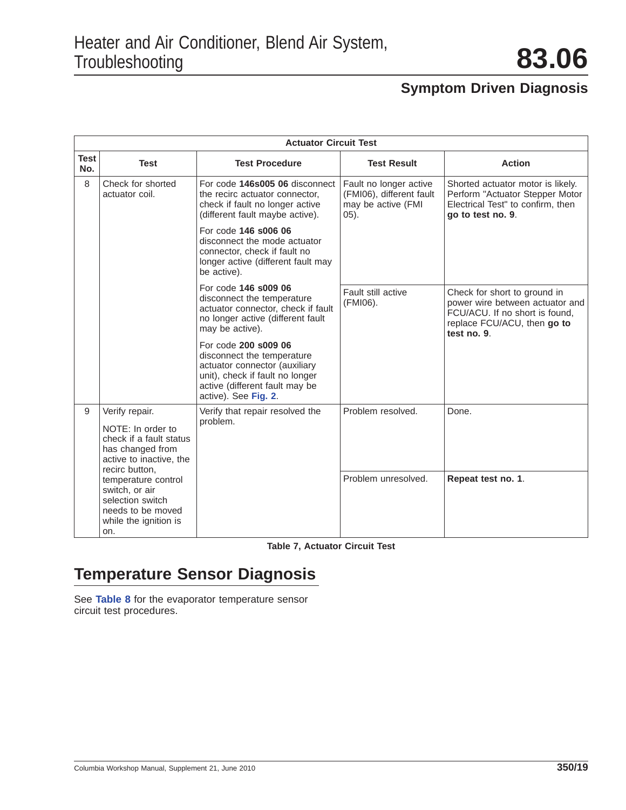|             | <b>Actuator Circuit Test</b>                                                                                                    |                                                                                                                                                                                  |                                                                                      |                                                                                                                                                 |  |  |
|-------------|---------------------------------------------------------------------------------------------------------------------------------|----------------------------------------------------------------------------------------------------------------------------------------------------------------------------------|--------------------------------------------------------------------------------------|-------------------------------------------------------------------------------------------------------------------------------------------------|--|--|
| Test<br>No. | <b>Test</b>                                                                                                                     | <b>Test Procedure</b>                                                                                                                                                            | <b>Test Result</b>                                                                   | <b>Action</b>                                                                                                                                   |  |  |
| 8           | Check for shorted<br>actuator coil.                                                                                             | For code 146s005 06 disconnect<br>the recirc actuator connector,<br>check if fault no longer active<br>(different fault maybe active).                                           | Fault no longer active<br>(FMI06), different fault<br>may be active (FMI<br>$(05)$ . | Shorted actuator motor is likely.<br>Perform "Actuator Stepper Motor<br>Electrical Test" to confirm, then<br>go to test no. 9.                  |  |  |
|             |                                                                                                                                 | For code 146 s006 06<br>disconnect the mode actuator<br>connector, check if fault no<br>longer active (different fault may<br>be active).                                        |                                                                                      |                                                                                                                                                 |  |  |
|             |                                                                                                                                 | For code 146 s009 06<br>disconnect the temperature<br>actuator connector, check if fault<br>no longer active (different fault<br>may be active).                                 | Fault still active<br>(FMI06).                                                       | Check for short to ground in<br>power wire between actuator and<br>FCU/ACU. If no short is found,<br>replace FCU/ACU, then go to<br>test no. 9. |  |  |
|             |                                                                                                                                 | For code 200 s009 06<br>disconnect the temperature<br>actuator connector (auxiliary<br>unit), check if fault no longer<br>active (different fault may be<br>active). See Fig. 2. |                                                                                      |                                                                                                                                                 |  |  |
| 9           | Verify repair.<br>NOTE: In order to<br>check if a fault status<br>has changed from<br>active to inactive, the<br>recirc button. | Verify that repair resolved the<br>problem.                                                                                                                                      | Problem resolved.                                                                    | Done.                                                                                                                                           |  |  |
|             | temperature control<br>switch, or air<br>selection switch<br>needs to be moved<br>while the ignition is<br>on.                  |                                                                                                                                                                                  | Problem unresolved.                                                                  | Repeat test no. 1.                                                                                                                              |  |  |

**Table 7, Actuator Circuit Test**

## **Temperature Sensor Diagnosis**

See **[Table 8](#page-19-0)** for the evaporator temperature sensor circuit test procedures.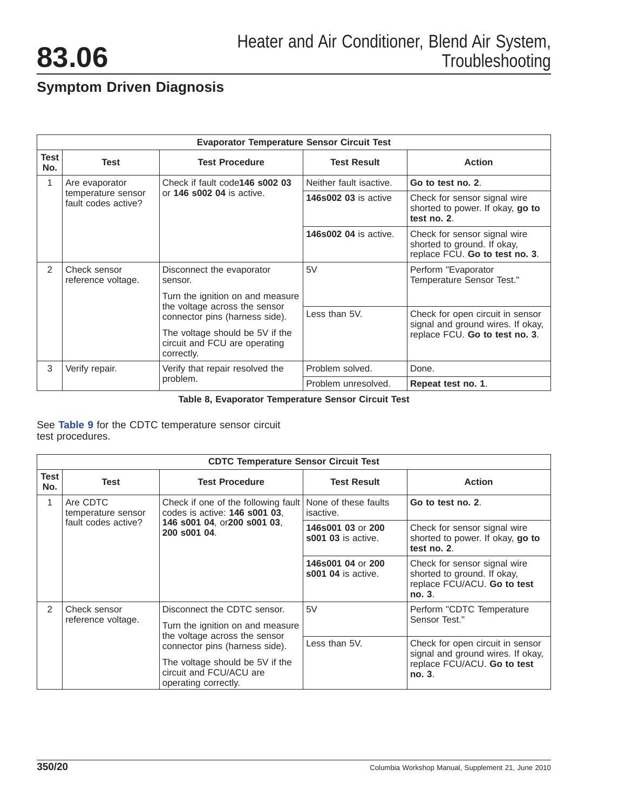<span id="page-19-0"></span>

|               | <b>Evaporator Temperature Sensor Circuit Test</b>                             |                                                                                |                                                                                 |                                                                                               |  |  |
|---------------|-------------------------------------------------------------------------------|--------------------------------------------------------------------------------|---------------------------------------------------------------------------------|-----------------------------------------------------------------------------------------------|--|--|
| Test<br>No.   | <b>Test</b>                                                                   | <b>Test Procedure</b>                                                          | <b>Test Result</b>                                                              | <b>Action</b>                                                                                 |  |  |
| 1             | Are evaporator                                                                | Check if fault code <b>146 s002 03</b>                                         | Neither fault isactive.                                                         | Go to test no. 2.                                                                             |  |  |
|               | or <b>146 s002 04</b> is active.<br>temperature sensor<br>fault codes active? | <b>146s002 03 is active</b>                                                    | Check for sensor signal wire<br>shorted to power. If okay, go to<br>test no. 2. |                                                                                               |  |  |
|               |                                                                               |                                                                                | <b>146s002 04 is active.</b>                                                    | Check for sensor signal wire<br>shorted to ground. If okay,<br>replace FCU. Go to test no. 3. |  |  |
| $\mathcal{P}$ | Check sensor<br>reference voltage.                                            | Disconnect the evaporator<br>sensor.                                           | 5V                                                                              | Perform "Evaporator<br>Temperature Sensor Test."                                              |  |  |
|               |                                                                               | Turn the ignition on and measure                                               |                                                                                 |                                                                                               |  |  |
|               | the voltage across the sensor<br>connector pins (harness side).               |                                                                                | Less than 5V.                                                                   | Check for open circuit in sensor<br>signal and ground wires. If okay,                         |  |  |
|               |                                                                               | The voltage should be 5V if the<br>circuit and FCU are operating<br>correctly. |                                                                                 | replace FCU. Go to test no. 3.                                                                |  |  |
| 3             | Verify repair.                                                                | Verify that repair resolved the                                                | Problem solved.                                                                 | Done.                                                                                         |  |  |
|               |                                                                               | problem.                                                                       | Problem unresolved.                                                             | Repeat test no. 1.                                                                            |  |  |

**Table 8, Evaporator Temperature Sensor Circuit Test**

See **Table 9** for the CDTC temperature sensor circuit test procedures.

|               | <b>CDTC Temperature Sensor Circuit Test</b> |                                                                                                                                                                                                                          |                                                |                                                                                                                |  |  |  |
|---------------|---------------------------------------------|--------------------------------------------------------------------------------------------------------------------------------------------------------------------------------------------------------------------------|------------------------------------------------|----------------------------------------------------------------------------------------------------------------|--|--|--|
| Test<br>No.   | Test                                        | <b>Test Procedure</b>                                                                                                                                                                                                    | <b>Test Result</b>                             | <b>Action</b>                                                                                                  |  |  |  |
| 1             | Are CDTC<br>temperature sensor              | Check if one of the following fault<br>codes is active: <b>146 s001 03.</b><br>146 s001 04, or200 s001 03,<br>200 s001 04.                                                                                               | None of these faults<br>isactive.              | Go to test no. 2.                                                                                              |  |  |  |
|               | fault codes active?                         |                                                                                                                                                                                                                          | 146s001 03 or 200<br><b>s001 03</b> is active. | Check for sensor signal wire<br>shorted to power. If okay, go to<br>test no. 2.                                |  |  |  |
|               |                                             |                                                                                                                                                                                                                          | 146s001 04 or 200<br><b>s001 04</b> is active. | Check for sensor signal wire<br>shorted to ground. If okay,<br>replace FCU/ACU. Go to test<br>no. 3.           |  |  |  |
| $\mathcal{P}$ | Check sensor<br>reference voltage.          | Disconnect the CDTC sensor.<br>Turn the ignition on and measure<br>the voltage across the sensor<br>connector pins (harness side).<br>The voltage should be 5V if the<br>circuit and FCU/ACU are<br>operating correctly. | 5V                                             | Perform "CDTC Temperature<br>Sensor Test."                                                                     |  |  |  |
|               |                                             |                                                                                                                                                                                                                          | Less than 5V.                                  | Check for open circuit in sensor<br>signal and ground wires. If okay,<br>replace FCU/ACU. Go to test<br>no. 3. |  |  |  |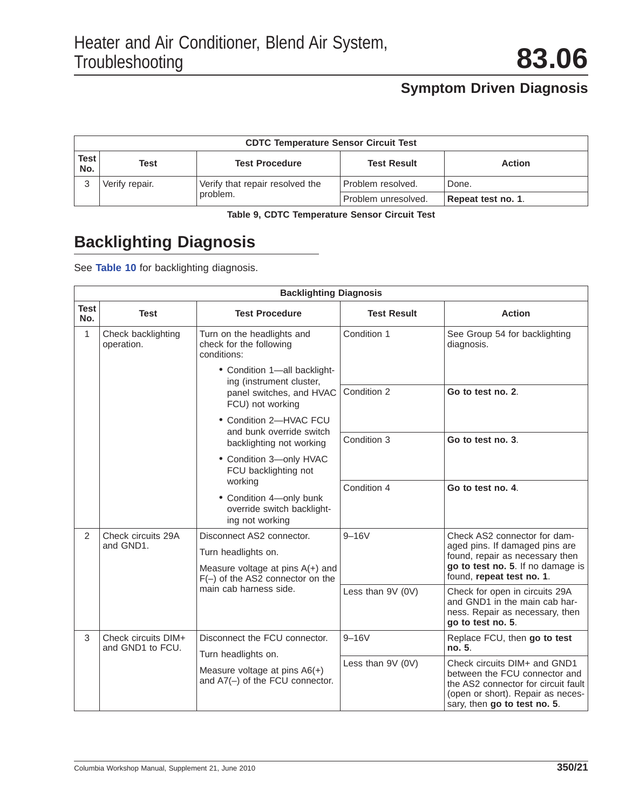| <b>CDTC Temperature Sensor Circuit Test</b> |                               |                                             |                     |                    |  |
|---------------------------------------------|-------------------------------|---------------------------------------------|---------------------|--------------------|--|
| Test l<br>No.                               | <b>Test Procedure</b><br>Test |                                             | <b>Test Result</b>  | <b>Action</b>      |  |
|                                             | Verify repair.                | Verify that repair resolved the<br>problem. | Problem resolved.   | Done.              |  |
|                                             |                               |                                             | Problem unresolved. | Repeat test no. 1. |  |

**Table 9, CDTC Temperature Sensor Circuit Test**

## **Backlighting Diagnosis**

See **Table 10** for backlighting diagnosis.

|                    | <b>Backlighting Diagnosis</b>           |                                                                                                                           |                    |                                                                                                                                                                           |  |  |
|--------------------|-----------------------------------------|---------------------------------------------------------------------------------------------------------------------------|--------------------|---------------------------------------------------------------------------------------------------------------------------------------------------------------------------|--|--|
| <b>Test</b><br>No. | <b>Test</b>                             | <b>Test Procedure</b>                                                                                                     | <b>Test Result</b> | <b>Action</b>                                                                                                                                                             |  |  |
| $\mathbf{1}$       | Check backlighting<br>operation.        | Turn on the headlights and<br>check for the following<br>conditions:                                                      | Condition 1        | See Group 54 for backlighting<br>diagnosis.                                                                                                                               |  |  |
|                    |                                         | • Condition 1-all backlight-<br>ing (instrument cluster,<br>panel switches, and HVAC<br>FCU) not working                  |                    |                                                                                                                                                                           |  |  |
|                    |                                         |                                                                                                                           | Condition 2        | Go to test no. 2.                                                                                                                                                         |  |  |
|                    |                                         | • Condition 2-HVAC FCU<br>and bunk override switch                                                                        |                    |                                                                                                                                                                           |  |  |
|                    | working                                 | backlighting not working                                                                                                  | Condition 3        | Go to test no. 3.                                                                                                                                                         |  |  |
|                    |                                         | • Condition 3-only HVAC<br>FCU backlighting not                                                                           |                    |                                                                                                                                                                           |  |  |
|                    |                                         |                                                                                                                           | Condition 4        | Go to test no. 4.                                                                                                                                                         |  |  |
|                    |                                         | • Condition 4-only bunk<br>override switch backlight-<br>ing not working                                                  |                    |                                                                                                                                                                           |  |  |
| $\mathcal{P}$      | Check circuits 29A<br>and GND1.         | Disconnect AS2 connector.                                                                                                 | $9 - 16V$          | Check AS2 connector for dam-<br>aged pins. If damaged pins are                                                                                                            |  |  |
|                    |                                         | Turn headlights on.<br>Measure voltage at pins $A(+)$ and<br>$F(-)$ of the AS2 connector on the<br>main cab harness side. |                    | found, repair as necessary then<br>go to test no. 5. If no damage is                                                                                                      |  |  |
|                    |                                         |                                                                                                                           |                    | found, repeat test no. 1.                                                                                                                                                 |  |  |
|                    |                                         |                                                                                                                           | Less than 9V (0V)  | Check for open in circuits 29A<br>and GND1 in the main cab har-<br>ness. Repair as necessary, then<br>go to test no. 5.                                                   |  |  |
| 3                  | Check circuits DIM+<br>and GND1 to FCU. | Disconnect the FCU connector.                                                                                             | $9 - 16V$          | Replace FCU, then go to test<br>no. 5.                                                                                                                                    |  |  |
|                    |                                         | Turn headlights on.<br>Measure voltage at pins $A6(+)$<br>and A7(-) of the FCU connector.                                 | Less than $9V(0V)$ | Check circuits DIM+ and GND1<br>between the FCU connector and<br>the AS2 connector for circuit fault<br>(open or short). Repair as neces-<br>sary, then go to test no. 5. |  |  |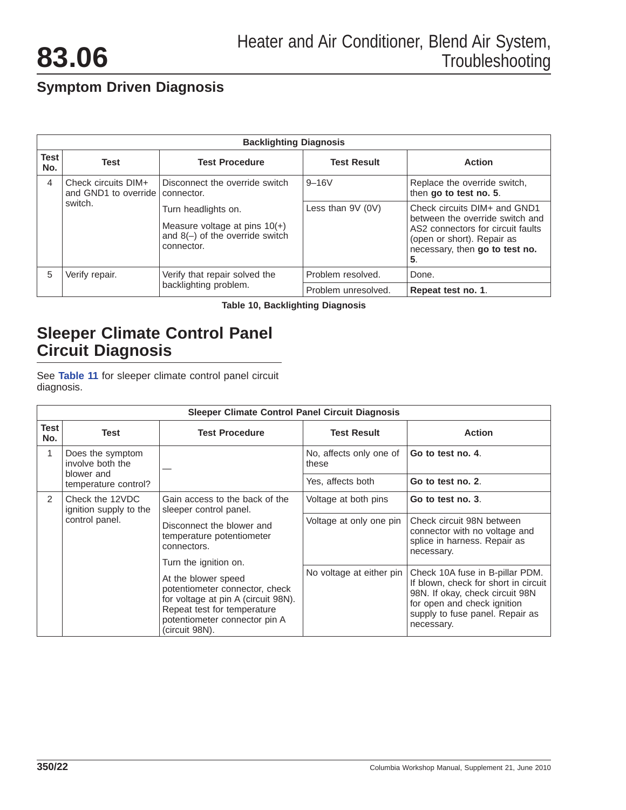<span id="page-21-0"></span>

| <b>Backlighting Diagnosis</b> |                                                          |                                                                                                           |                     |                                                                                                                                                                            |  |
|-------------------------------|----------------------------------------------------------|-----------------------------------------------------------------------------------------------------------|---------------------|----------------------------------------------------------------------------------------------------------------------------------------------------------------------------|--|
| <b>Test</b><br>No.            | <b>Test</b>                                              | <b>Test Procedure</b>                                                                                     | <b>Test Result</b>  | <b>Action</b>                                                                                                                                                              |  |
| 4                             | Check circuits DIM+<br>and GND1 to override   connector. | Disconnect the override switch                                                                            | $9 - 16V$           | Replace the override switch,<br>then go to test no. 5.                                                                                                                     |  |
|                               | switch.                                                  | Turn headlights on.<br>Measure voltage at pins $10(+)$<br>and $8(-)$ of the override switch<br>connector. | Less than $9V(0V)$  | Check circuits DIM+ and GND1<br>between the override switch and<br>AS2 connectors for circuit faults<br>(open or short). Repair as<br>necessary, then go to test no.<br>5. |  |
| 5                             | Verify repair.                                           | Verify that repair solved the                                                                             | Problem resolved.   | Done.                                                                                                                                                                      |  |
|                               |                                                          | backlighting problem.                                                                                     | Problem unresolved. | Repeat test no. 1.                                                                                                                                                         |  |

**Table 10, Backlighting Diagnosis**

### **Sleeper Climate Control Panel Circuit Diagnosis**

See **Table 11** for sleeper climate control panel circuit diagnosis.

|               | <b>Sleeper Climate Control Panel Circuit Diagnosis</b>                                                                                                                                                                                                                                                                                                                                                      |                         |                                                                                                          |                                                                                                                                                                                            |  |  |
|---------------|-------------------------------------------------------------------------------------------------------------------------------------------------------------------------------------------------------------------------------------------------------------------------------------------------------------------------------------------------------------------------------------------------------------|-------------------------|----------------------------------------------------------------------------------------------------------|--------------------------------------------------------------------------------------------------------------------------------------------------------------------------------------------|--|--|
| Test<br>No.   | Test                                                                                                                                                                                                                                                                                                                                                                                                        | <b>Test Procedure</b>   | <b>Test Result</b>                                                                                       | <b>Action</b>                                                                                                                                                                              |  |  |
| 1             | Does the symptom<br>involve both the                                                                                                                                                                                                                                                                                                                                                                        |                         | No, affects only one of<br>these                                                                         | Go to test no. 4.                                                                                                                                                                          |  |  |
|               | blower and<br>temperature control?                                                                                                                                                                                                                                                                                                                                                                          |                         | Yes, affects both                                                                                        | Go to test no. 2.                                                                                                                                                                          |  |  |
| $\mathcal{P}$ | Check the 12VDC<br>Gain access to the back of the<br>ignition supply to the<br>sleeper control panel.<br>control panel.<br>Disconnect the blower and<br>temperature potentiometer<br>connectors.<br>Turn the ignition on.<br>At the blower speed<br>potentiometer connector, check<br>for voltage at pin A (circuit 98N).<br>Repeat test for temperature<br>potentiometer connector pin A<br>(circuit 98N). |                         | Voltage at both pins                                                                                     | Go to test no. 3.                                                                                                                                                                          |  |  |
|               |                                                                                                                                                                                                                                                                                                                                                                                                             | Voltage at only one pin | Check circuit 98N between<br>connector with no voltage and<br>splice in harness. Repair as<br>necessary. |                                                                                                                                                                                            |  |  |
|               |                                                                                                                                                                                                                                                                                                                                                                                                             |                         |                                                                                                          |                                                                                                                                                                                            |  |  |
|               |                                                                                                                                                                                                                                                                                                                                                                                                             |                         | No voltage at either pin                                                                                 | Check 10A fuse in B-pillar PDM.<br>If blown, check for short in circuit<br>98N. If okay, check circuit 98N<br>for open and check ignition<br>supply to fuse panel. Repair as<br>necessary. |  |  |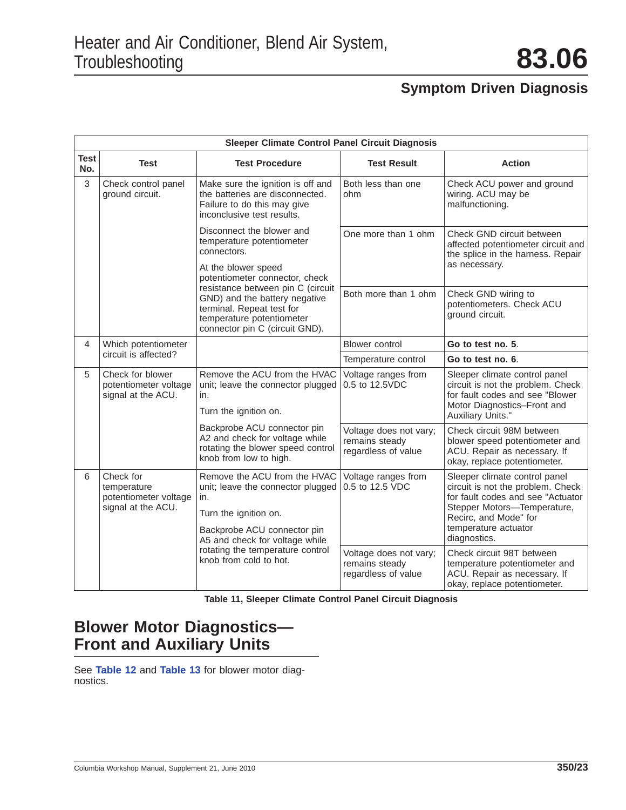|                    | <b>Sleeper Climate Control Panel Circuit Diagnosis</b>                  |                                                                                                                                                                                                                                  |                                                                 |                                                                                                                                                                                                         |  |  |
|--------------------|-------------------------------------------------------------------------|----------------------------------------------------------------------------------------------------------------------------------------------------------------------------------------------------------------------------------|-----------------------------------------------------------------|---------------------------------------------------------------------------------------------------------------------------------------------------------------------------------------------------------|--|--|
| <b>Test</b><br>No. | Test                                                                    | <b>Test Procedure</b>                                                                                                                                                                                                            | <b>Test Result</b>                                              | <b>Action</b>                                                                                                                                                                                           |  |  |
| 3                  | Check control panel<br>ground circuit.                                  | Make sure the ignition is off and<br>the batteries are disconnected.<br>Failure to do this may give<br>inconclusive test results.                                                                                                | Both less than one<br>ohm                                       | Check ACU power and ground<br>wiring. ACU may be<br>malfunctioning.                                                                                                                                     |  |  |
|                    |                                                                         | Disconnect the blower and<br>temperature potentiometer<br>connectors.<br>At the blower speed<br>potentiometer connector, check                                                                                                   | One more than 1 ohm                                             | Check GND circuit between<br>affected potentiometer circuit and<br>the splice in the harness. Repair<br>as necessary.                                                                                   |  |  |
|                    |                                                                         | resistance between pin C (circuit<br>GND) and the battery negative<br>terminal. Repeat test for<br>temperature potentiometer<br>connector pin C (circuit GND).                                                                   | Both more than 1 ohm                                            | Check GND wiring to<br>potentiometers. Check ACU<br>ground circuit.                                                                                                                                     |  |  |
| 4                  | Which potentiometer                                                     |                                                                                                                                                                                                                                  | <b>Blower control</b>                                           | Go to test no. 5.                                                                                                                                                                                       |  |  |
|                    | circuit is affected?                                                    |                                                                                                                                                                                                                                  | Temperature control                                             | Go to test no. 6.                                                                                                                                                                                       |  |  |
| 5                  | Check for blower<br>potentiometer voltage<br>signal at the ACU.         | Remove the ACU from the HVAC<br>unit; leave the connector plugged<br>in.<br>Turn the ignition on.                                                                                                                                | Voltage ranges from<br>0.5 to 12.5VDC                           | Sleeper climate control panel<br>circuit is not the problem. Check<br>for fault codes and see "Blower<br>Motor Diagnostics-Front and<br>Auxiliary Units."                                               |  |  |
|                    |                                                                         | Backprobe ACU connector pin<br>A2 and check for voltage while<br>rotating the blower speed control<br>knob from low to high.                                                                                                     | Voltage does not vary;<br>remains steady<br>regardless of value | Check circuit 98M between<br>blower speed potentiometer and<br>ACU. Repair as necessary. If<br>okay, replace potentiometer.                                                                             |  |  |
| 6                  | Check for<br>temperature<br>potentiometer voltage<br>signal at the ACU. | Remove the ACU from the HVAC<br>unit; leave the connector plugged<br>in.<br>Turn the ignition on.<br>Backprobe ACU connector pin<br>A5 and check for voltage while<br>rotating the temperature control<br>knob from cold to hot. | Voltage ranges from<br>0.5 to 12.5 VDC                          | Sleeper climate control panel<br>circuit is not the problem. Check<br>for fault codes and see "Actuator<br>Stepper Motors-Temperature,<br>Recirc, and Mode" for<br>temperature actuator<br>diagnostics. |  |  |
|                    |                                                                         |                                                                                                                                                                                                                                  | Voltage does not vary;<br>remains steady<br>regardless of value | Check circuit 98T between<br>temperature potentiometer and<br>ACU. Repair as necessary. If<br>okay, replace potentiometer.                                                                              |  |  |

**Table 11, Sleeper Climate Control Panel Circuit Diagnosis**

### **Blower Motor Diagnostics— Front and Auxiliary Units**

See **[Table 12](#page-23-0)** and **[Table 13](#page-24-0)** for blower motor diagnostics.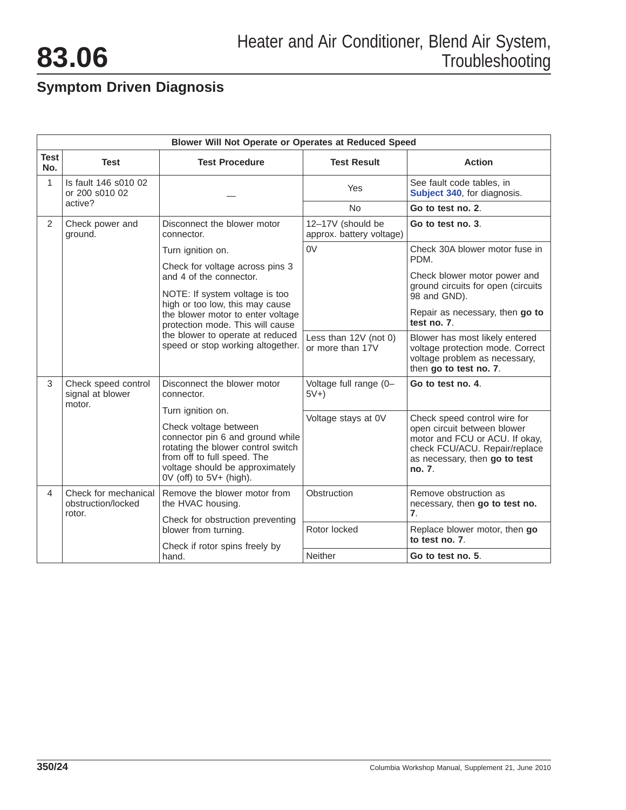<span id="page-23-0"></span>

|                    | Blower Will Not Operate or Operates at Reduced Speed |                                                                                                                                                                                                                       |                                               |                                                                                                                                                                           |  |  |
|--------------------|------------------------------------------------------|-----------------------------------------------------------------------------------------------------------------------------------------------------------------------------------------------------------------------|-----------------------------------------------|---------------------------------------------------------------------------------------------------------------------------------------------------------------------------|--|--|
| <b>Test</b><br>No. | <b>Test</b>                                          | <b>Test Procedure</b>                                                                                                                                                                                                 | <b>Test Result</b>                            | <b>Action</b>                                                                                                                                                             |  |  |
| 1                  | Is fault 146 s010 02<br>or 200 s010 02               |                                                                                                                                                                                                                       | Yes                                           | See fault code tables, in<br>Subject 340, for diagnosis.                                                                                                                  |  |  |
|                    | active?                                              |                                                                                                                                                                                                                       | <b>No</b>                                     | Go to test no. 2.                                                                                                                                                         |  |  |
| 2                  | Check power and<br>ground.                           | Disconnect the blower motor<br>connector.                                                                                                                                                                             | 12-17V (should be<br>approx. battery voltage) | Go to test no. 3.                                                                                                                                                         |  |  |
|                    |                                                      | Turn ignition on.                                                                                                                                                                                                     | 0 <sup>V</sup>                                | Check 30A blower motor fuse in<br>PDM.                                                                                                                                    |  |  |
|                    |                                                      | Check for voltage across pins 3<br>and 4 of the connector.<br>NOTE: If system voltage is too                                                                                                                          |                                               | Check blower motor power and<br>ground circuits for open (circuits<br>98 and GND).                                                                                        |  |  |
|                    |                                                      | high or too low, this may cause<br>the blower motor to enter voltage<br>protection mode. This will cause<br>the blower to operate at reduced<br>speed or stop working altogether.                                     |                                               | Repair as necessary, then go to<br>test no. 7.                                                                                                                            |  |  |
|                    |                                                      |                                                                                                                                                                                                                       | Less than 12V (not 0)<br>or more than 17V     | Blower has most likely entered<br>voltage protection mode. Correct<br>voltage problem as necessary,<br>then go to test no. 7.                                             |  |  |
| 3                  | Check speed control<br>signal at blower<br>motor.    | Disconnect the blower motor<br>connector.                                                                                                                                                                             | Voltage full range (0-<br>$5V+$               | Go to test no. 4.                                                                                                                                                         |  |  |
|                    |                                                      | Turn ignition on.<br>Check voltage between<br>connector pin 6 and ground while<br>rotating the blower control switch<br>from off to full speed. The<br>voltage should be approximately<br>$0V$ (off) to $5V+$ (high). | Voltage stays at 0V                           | Check speed control wire for<br>open circuit between blower<br>motor and FCU or ACU. If okay,<br>check FCU/ACU. Repair/replace<br>as necessary, then go to test<br>no. 7. |  |  |
| 4                  | Check for mechanical<br>obstruction/locked<br>rotor. | Remove the blower motor from<br>the HVAC housing.<br>Check for obstruction preventing<br>blower from turning.                                                                                                         | Obstruction                                   | Remove obstruction as<br>necessary, then go to test no.<br>$\overline{7}$ .                                                                                               |  |  |
|                    |                                                      |                                                                                                                                                                                                                       | Rotor locked                                  | Replace blower motor, then go<br>to test no. 7.                                                                                                                           |  |  |
|                    |                                                      | Check if rotor spins freely by<br>hand.                                                                                                                                                                               | <b>Neither</b>                                | Go to test no. 5.                                                                                                                                                         |  |  |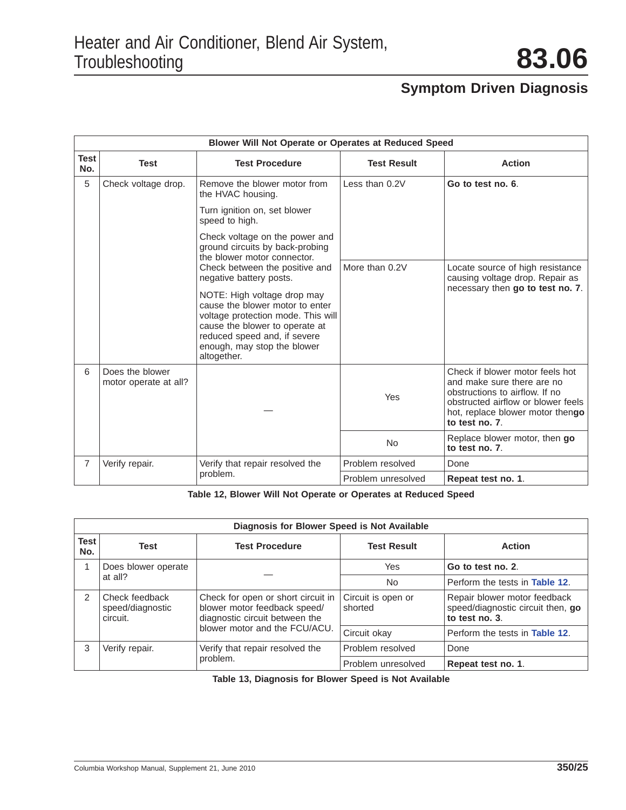<span id="page-24-0"></span>

| <b>Blower Will Not Operate or Operates at Reduced Speed</b> |                                                                                                                                                                                                                                                                                                                                                                                                                                                                               |                                             |                                                                     |                                                                                                                                                                                             |  |
|-------------------------------------------------------------|-------------------------------------------------------------------------------------------------------------------------------------------------------------------------------------------------------------------------------------------------------------------------------------------------------------------------------------------------------------------------------------------------------------------------------------------------------------------------------|---------------------------------------------|---------------------------------------------------------------------|---------------------------------------------------------------------------------------------------------------------------------------------------------------------------------------------|--|
| <b>Test</b><br>No.                                          | <b>Test</b>                                                                                                                                                                                                                                                                                                                                                                                                                                                                   | <b>Test Procedure</b>                       | <b>Test Result</b>                                                  | <b>Action</b>                                                                                                                                                                               |  |
| 5                                                           | Check voltage drop.<br>Remove the blower motor from<br>the HVAC housing.<br>Turn ignition on, set blower<br>speed to high.<br>Check voltage on the power and<br>ground circuits by back-probing<br>the blower motor connector.<br>Check between the positive and<br>negative battery posts.<br>NOTE: High voltage drop may<br>cause the blower motor to enter<br>cause the blower to operate at<br>reduced speed and, if severe<br>enough, may stop the blower<br>altogether. |                                             | Less than 0.2V                                                      | Go to test no. 6.                                                                                                                                                                           |  |
|                                                             |                                                                                                                                                                                                                                                                                                                                                                                                                                                                               |                                             |                                                                     |                                                                                                                                                                                             |  |
|                                                             |                                                                                                                                                                                                                                                                                                                                                                                                                                                                               |                                             |                                                                     |                                                                                                                                                                                             |  |
|                                                             |                                                                                                                                                                                                                                                                                                                                                                                                                                                                               | More than 0.2V                              | Locate source of high resistance<br>causing voltage drop. Repair as |                                                                                                                                                                                             |  |
|                                                             |                                                                                                                                                                                                                                                                                                                                                                                                                                                                               | voltage protection mode. This will          |                                                                     | necessary then go to test no. 7.                                                                                                                                                            |  |
| 6                                                           | Does the blower<br>motor operate at all?                                                                                                                                                                                                                                                                                                                                                                                                                                      |                                             | Yes                                                                 | Check if blower motor feels hot<br>and make sure there are no<br>obstructions to airflow. If no<br>obstructed airflow or blower feels<br>hot, replace blower motor thengo<br>to test no. 7. |  |
|                                                             |                                                                                                                                                                                                                                                                                                                                                                                                                                                                               |                                             | <b>No</b>                                                           | Replace blower motor, then go<br>to test no. 7.                                                                                                                                             |  |
| 7                                                           | Verify repair.                                                                                                                                                                                                                                                                                                                                                                                                                                                                | Verify that repair resolved the<br>problem. | Problem resolved                                                    | Done                                                                                                                                                                                        |  |
|                                                             |                                                                                                                                                                                                                                                                                                                                                                                                                                                                               |                                             | Problem unresolved                                                  | Repeat test no. 1.                                                                                                                                                                          |  |

**Table 12, Blower Will Not Operate or Operates at Reduced Speed**

| Diagnosis for Blower Speed is Not Available |                                                |                                                                                                                                       |                               |                                                                                     |  |
|---------------------------------------------|------------------------------------------------|---------------------------------------------------------------------------------------------------------------------------------------|-------------------------------|-------------------------------------------------------------------------------------|--|
| <b>Test</b><br>No.                          | Test                                           | <b>Test Procedure</b>                                                                                                                 | <b>Test Result</b>            | <b>Action</b>                                                                       |  |
|                                             | Does blower operate<br>at all?                 |                                                                                                                                       | Yes                           | Go to test no. 2.                                                                   |  |
|                                             |                                                |                                                                                                                                       | No.                           | Perform the tests in Table 12.                                                      |  |
| $\mathcal{P}$                               | Check feedback<br>speed/diagnostic<br>circuit. | Check for open or short circuit in<br>blower motor feedback speed/<br>diagnostic circuit between the<br>blower motor and the FCU/ACU. | Circuit is open or<br>shorted | Repair blower motor feedback<br>speed/diagnostic circuit then, go<br>to test no. 3. |  |
|                                             |                                                |                                                                                                                                       | Circuit okay                  | Perform the tests in <b>Table 12.</b>                                               |  |
| 3                                           | Verify repair.                                 | Verify that repair resolved the<br>problem.                                                                                           | Problem resolved              | Done                                                                                |  |
|                                             |                                                |                                                                                                                                       | Problem unresolved            | Repeat test no. 1.                                                                  |  |

**Table 13, Diagnosis for Blower Speed is Not Available**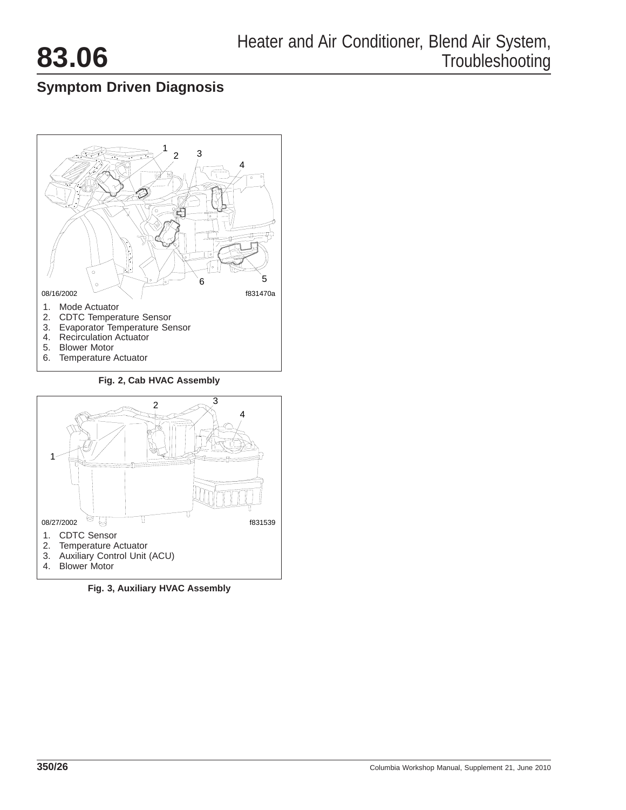<span id="page-25-0"></span>



**Fig. 2, Cab HVAC Assembly**



**Fig. 3, Auxiliary HVAC Assembly**